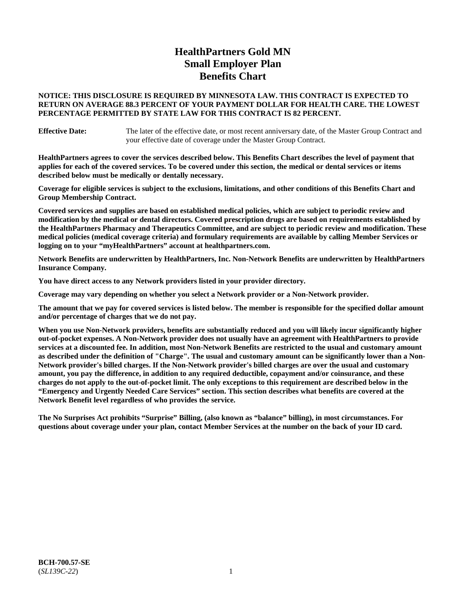# **HealthPartners Gold MN Small Employer Plan Benefits Chart**

### **NOTICE: THIS DISCLOSURE IS REQUIRED BY MINNESOTA LAW. THIS CONTRACT IS EXPECTED TO RETURN ON AVERAGE 88.3 PERCENT OF YOUR PAYMENT DOLLAR FOR HEALTH CARE. THE LOWEST PERCENTAGE PERMITTED BY STATE LAW FOR THIS CONTRACT IS 82 PERCENT.**

**Effective Date:** The later of the effective date, or most recent anniversary date, of the Master Group Contract and your effective date of coverage under the Master Group Contract.

**HealthPartners agrees to cover the services described below. This Benefits Chart describes the level of payment that applies for each of the covered services. To be covered under this section, the medical or dental services or items described below must be medically or dentally necessary.**

**Coverage for eligible services is subject to the exclusions, limitations, and other conditions of this Benefits Chart and Group Membership Contract.**

**Covered services and supplies are based on established medical policies, which are subject to periodic review and modification by the medical or dental directors. Covered prescription drugs are based on requirements established by the HealthPartners Pharmacy and Therapeutics Committee, and are subject to periodic review and modification. These medical policies (medical coverage criteria) and formulary requirements are available by calling Member Services or logging on to your "myHealthPartners" account at [healthpartners.com.](https://www.healthpartners.com/hp/index.html)**

**Network Benefits are underwritten by HealthPartners, Inc. Non-Network Benefits are underwritten by HealthPartners Insurance Company.** 

**You have direct access to any Network providers listed in your provider directory.**

**Coverage may vary depending on whether you select a Network provider or a Non-Network provider.**

**The amount that we pay for covered services is listed below. The member is responsible for the specified dollar amount and/or percentage of charges that we do not pay.**

**When you use Non-Network providers, benefits are substantially reduced and you will likely incur significantly higher out-of-pocket expenses. A Non-Network provider does not usually have an agreement with HealthPartners to provide services at a discounted fee. In addition, most Non-Network Benefits are restricted to the usual and customary amount as described under the definition of "Charge". The usual and customary amount can be significantly lower than a Non-Network provider's billed charges. If the Non-Network provider's billed charges are over the usual and customary amount, you pay the difference, in addition to any required deductible, copayment and/or coinsurance, and these charges do not apply to the out-of-pocket limit. The only exceptions to this requirement are described below in the "Emergency and Urgently Needed Care Services" section. This section describes what benefits are covered at the Network Benefit level regardless of who provides the service.**

**The No Surprises Act prohibits "Surprise" Billing, (also known as "balance" billing), in most circumstances. For questions about coverage under your plan, contact Member Services at the number on the back of your ID card.**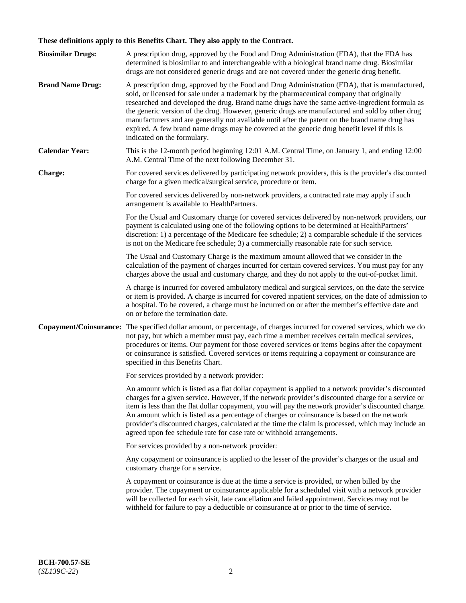# **These definitions apply to this Benefits Chart. They also apply to the Contract.**

| <b>Biosimilar Drugs:</b> | A prescription drug, approved by the Food and Drug Administration (FDA), that the FDA has<br>determined is biosimilar to and interchangeable with a biological brand name drug. Biosimilar<br>drugs are not considered generic drugs and are not covered under the generic drug benefit.                                                                                                                                                                                                                                                                                                                                           |
|--------------------------|------------------------------------------------------------------------------------------------------------------------------------------------------------------------------------------------------------------------------------------------------------------------------------------------------------------------------------------------------------------------------------------------------------------------------------------------------------------------------------------------------------------------------------------------------------------------------------------------------------------------------------|
| <b>Brand Name Drug:</b>  | A prescription drug, approved by the Food and Drug Administration (FDA), that is manufactured,<br>sold, or licensed for sale under a trademark by the pharmaceutical company that originally<br>researched and developed the drug. Brand name drugs have the same active-ingredient formula as<br>the generic version of the drug. However, generic drugs are manufactured and sold by other drug<br>manufacturers and are generally not available until after the patent on the brand name drug has<br>expired. A few brand name drugs may be covered at the generic drug benefit level if this is<br>indicated on the formulary. |
| <b>Calendar Year:</b>    | This is the 12-month period beginning 12:01 A.M. Central Time, on January 1, and ending 12:00<br>A.M. Central Time of the next following December 31.                                                                                                                                                                                                                                                                                                                                                                                                                                                                              |
| <b>Charge:</b>           | For covered services delivered by participating network providers, this is the provider's discounted<br>charge for a given medical/surgical service, procedure or item.                                                                                                                                                                                                                                                                                                                                                                                                                                                            |
|                          | For covered services delivered by non-network providers, a contracted rate may apply if such<br>arrangement is available to HealthPartners.                                                                                                                                                                                                                                                                                                                                                                                                                                                                                        |
|                          | For the Usual and Customary charge for covered services delivered by non-network providers, our<br>payment is calculated using one of the following options to be determined at HealthPartners'<br>discretion: 1) a percentage of the Medicare fee schedule; 2) a comparable schedule if the services<br>is not on the Medicare fee schedule; 3) a commercially reasonable rate for such service.                                                                                                                                                                                                                                  |
|                          | The Usual and Customary Charge is the maximum amount allowed that we consider in the<br>calculation of the payment of charges incurred for certain covered services. You must pay for any<br>charges above the usual and customary charge, and they do not apply to the out-of-pocket limit.                                                                                                                                                                                                                                                                                                                                       |
|                          | A charge is incurred for covered ambulatory medical and surgical services, on the date the service<br>or item is provided. A charge is incurred for covered inpatient services, on the date of admission to<br>a hospital. To be covered, a charge must be incurred on or after the member's effective date and<br>on or before the termination date.                                                                                                                                                                                                                                                                              |
| Copayment/Coinsurance:   | The specified dollar amount, or percentage, of charges incurred for covered services, which we do<br>not pay, but which a member must pay, each time a member receives certain medical services,<br>procedures or items. Our payment for those covered services or items begins after the copayment<br>or coinsurance is satisfied. Covered services or items requiring a copayment or coinsurance are<br>specified in this Benefits Chart.                                                                                                                                                                                        |
|                          | For services provided by a network provider:                                                                                                                                                                                                                                                                                                                                                                                                                                                                                                                                                                                       |
|                          | An amount which is listed as a flat dollar copayment is applied to a network provider's discounted<br>charges for a given service. However, if the network provider's discounted charge for a service or<br>item is less than the flat dollar copayment, you will pay the network provider's discounted charge.<br>An amount which is listed as a percentage of charges or coinsurance is based on the network<br>provider's discounted charges, calculated at the time the claim is processed, which may include an<br>agreed upon fee schedule rate for case rate or withhold arrangements.                                      |
|                          | For services provided by a non-network provider:                                                                                                                                                                                                                                                                                                                                                                                                                                                                                                                                                                                   |
|                          | Any copayment or coinsurance is applied to the lesser of the provider's charges or the usual and<br>customary charge for a service.                                                                                                                                                                                                                                                                                                                                                                                                                                                                                                |
|                          | A copayment or coinsurance is due at the time a service is provided, or when billed by the<br>provider. The copayment or coinsurance applicable for a scheduled visit with a network provider<br>will be collected for each visit, late cancellation and failed appointment. Services may not be<br>withheld for failure to pay a deductible or coinsurance at or prior to the time of service.                                                                                                                                                                                                                                    |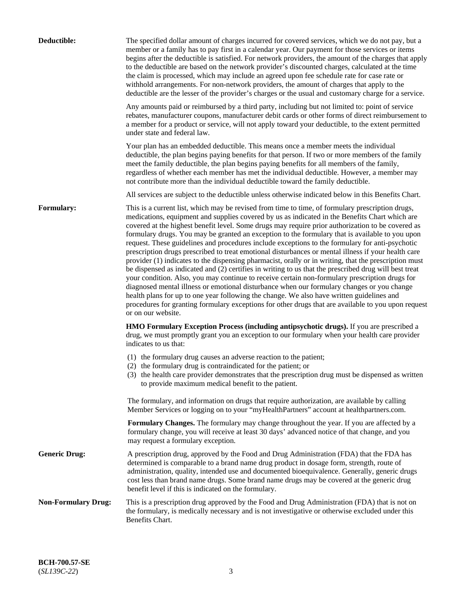| Deductible:                | The specified dollar amount of charges incurred for covered services, which we do not pay, but a                                                                                                                                                                                                                                                                                                                                                                                                                                                                                                                                                                                                                                                                                                                                                                                                                                                                                                                                                                                                                                                                                                                                                                 |
|----------------------------|------------------------------------------------------------------------------------------------------------------------------------------------------------------------------------------------------------------------------------------------------------------------------------------------------------------------------------------------------------------------------------------------------------------------------------------------------------------------------------------------------------------------------------------------------------------------------------------------------------------------------------------------------------------------------------------------------------------------------------------------------------------------------------------------------------------------------------------------------------------------------------------------------------------------------------------------------------------------------------------------------------------------------------------------------------------------------------------------------------------------------------------------------------------------------------------------------------------------------------------------------------------|
|                            | member or a family has to pay first in a calendar year. Our payment for those services or items<br>begins after the deductible is satisfied. For network providers, the amount of the charges that apply<br>to the deductible are based on the network provider's discounted charges, calculated at the time<br>the claim is processed, which may include an agreed upon fee schedule rate for case rate or<br>withhold arrangements. For non-network providers, the amount of charges that apply to the<br>deductible are the lesser of the provider's charges or the usual and customary charge for a service.                                                                                                                                                                                                                                                                                                                                                                                                                                                                                                                                                                                                                                                 |
|                            | Any amounts paid or reimbursed by a third party, including but not limited to: point of service<br>rebates, manufacturer coupons, manufacturer debit cards or other forms of direct reimbursement to<br>a member for a product or service, will not apply toward your deductible, to the extent permitted<br>under state and federal law.                                                                                                                                                                                                                                                                                                                                                                                                                                                                                                                                                                                                                                                                                                                                                                                                                                                                                                                        |
|                            | Your plan has an embedded deductible. This means once a member meets the individual<br>deductible, the plan begins paying benefits for that person. If two or more members of the family<br>meet the family deductible, the plan begins paying benefits for all members of the family,<br>regardless of whether each member has met the individual deductible. However, a member may<br>not contribute more than the individual deductible toward the family deductible.                                                                                                                                                                                                                                                                                                                                                                                                                                                                                                                                                                                                                                                                                                                                                                                         |
|                            | All services are subject to the deductible unless otherwise indicated below in this Benefits Chart.                                                                                                                                                                                                                                                                                                                                                                                                                                                                                                                                                                                                                                                                                                                                                                                                                                                                                                                                                                                                                                                                                                                                                              |
| Formulary:                 | This is a current list, which may be revised from time to time, of formulary prescription drugs,<br>medications, equipment and supplies covered by us as indicated in the Benefits Chart which are<br>covered at the highest benefit level. Some drugs may require prior authorization to be covered as<br>formulary drugs. You may be granted an exception to the formulary that is available to you upon<br>request. These guidelines and procedures include exceptions to the formulary for anti-psychotic<br>prescription drugs prescribed to treat emotional disturbances or mental illness if your health care<br>provider (1) indicates to the dispensing pharmacist, orally or in writing, that the prescription must<br>be dispensed as indicated and (2) certifies in writing to us that the prescribed drug will best treat<br>your condition. Also, you may continue to receive certain non-formulary prescription drugs for<br>diagnosed mental illness or emotional disturbance when our formulary changes or you change<br>health plans for up to one year following the change. We also have written guidelines and<br>procedures for granting formulary exceptions for other drugs that are available to you upon request<br>or on our website. |
|                            | HMO Formulary Exception Process (including antipsychotic drugs). If you are prescribed a<br>drug, we must promptly grant you an exception to our formulary when your health care provider<br>indicates to us that:                                                                                                                                                                                                                                                                                                                                                                                                                                                                                                                                                                                                                                                                                                                                                                                                                                                                                                                                                                                                                                               |
|                            | (1) the formulary drug causes an adverse reaction to the patient;<br>(2) the formulary drug is contraindicated for the patient; or<br>(3) the health care provider demonstrates that the prescription drug must be dispensed as written<br>to provide maximum medical benefit to the patient.                                                                                                                                                                                                                                                                                                                                                                                                                                                                                                                                                                                                                                                                                                                                                                                                                                                                                                                                                                    |
|                            | The formulary, and information on drugs that require authorization, are available by calling<br>Member Services or logging on to your "myHealthPartners" account at healthpartners.com.                                                                                                                                                                                                                                                                                                                                                                                                                                                                                                                                                                                                                                                                                                                                                                                                                                                                                                                                                                                                                                                                          |
|                            | Formulary Changes. The formulary may change throughout the year. If you are affected by a<br>formulary change, you will receive at least 30 days' advanced notice of that change, and you<br>may request a formulary exception.                                                                                                                                                                                                                                                                                                                                                                                                                                                                                                                                                                                                                                                                                                                                                                                                                                                                                                                                                                                                                                  |
| <b>Generic Drug:</b>       | A prescription drug, approved by the Food and Drug Administration (FDA) that the FDA has<br>determined is comparable to a brand name drug product in dosage form, strength, route of<br>administration, quality, intended use and documented bioequivalence. Generally, generic drugs<br>cost less than brand name drugs. Some brand name drugs may be covered at the generic drug<br>benefit level if this is indicated on the formulary.                                                                                                                                                                                                                                                                                                                                                                                                                                                                                                                                                                                                                                                                                                                                                                                                                       |
| <b>Non-Formulary Drug:</b> | This is a prescription drug approved by the Food and Drug Administration (FDA) that is not on<br>the formulary, is medically necessary and is not investigative or otherwise excluded under this<br>Benefits Chart.                                                                                                                                                                                                                                                                                                                                                                                                                                                                                                                                                                                                                                                                                                                                                                                                                                                                                                                                                                                                                                              |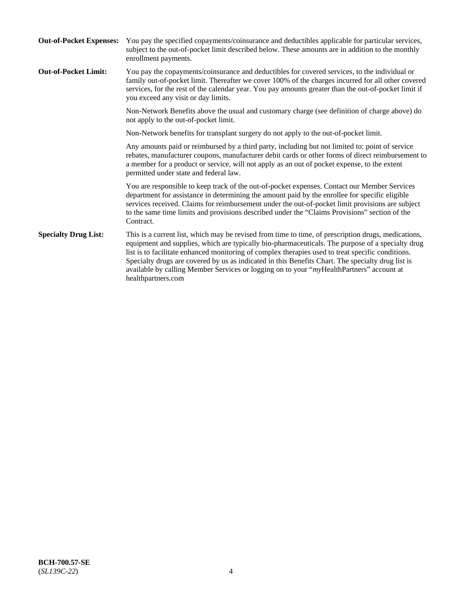| <b>Out-of-Pocket Expenses:</b> | You pay the specified copayments/coinsurance and deductibles applicable for particular services,<br>subject to the out-of-pocket limit described below. These amounts are in addition to the monthly<br>enrollment payments.                                                                                                                                                                                                                                                                                                        |
|--------------------------------|-------------------------------------------------------------------------------------------------------------------------------------------------------------------------------------------------------------------------------------------------------------------------------------------------------------------------------------------------------------------------------------------------------------------------------------------------------------------------------------------------------------------------------------|
| <b>Out-of-Pocket Limit:</b>    | You pay the copayments/coinsurance and deductibles for covered services, to the individual or<br>family out-of-pocket limit. Thereafter we cover 100% of the charges incurred for all other covered<br>services, for the rest of the calendar year. You pay amounts greater than the out-of-pocket limit if<br>you exceed any visit or day limits.                                                                                                                                                                                  |
|                                | Non-Network Benefits above the usual and customary charge (see definition of charge above) do<br>not apply to the out-of-pocket limit.                                                                                                                                                                                                                                                                                                                                                                                              |
|                                | Non-Network benefits for transplant surgery do not apply to the out-of-pocket limit.                                                                                                                                                                                                                                                                                                                                                                                                                                                |
|                                | Any amounts paid or reimbursed by a third party, including but not limited to: point of service<br>rebates, manufacturer coupons, manufacturer debit cards or other forms of direct reimbursement to<br>a member for a product or service, will not apply as an out of pocket expense, to the extent<br>permitted under state and federal law.                                                                                                                                                                                      |
|                                | You are responsible to keep track of the out-of-pocket expenses. Contact our Member Services<br>department for assistance in determining the amount paid by the enrollee for specific eligible<br>services received. Claims for reimbursement under the out-of-pocket limit provisions are subject<br>to the same time limits and provisions described under the "Claims Provisions" section of the<br>Contract.                                                                                                                    |
| <b>Specialty Drug List:</b>    | This is a current list, which may be revised from time to time, of prescription drugs, medications,<br>equipment and supplies, which are typically bio-pharmaceuticals. The purpose of a specialty drug<br>list is to facilitate enhanced monitoring of complex therapies used to treat specific conditions.<br>Specialty drugs are covered by us as indicated in this Benefits Chart. The specialty drug list is<br>available by calling Member Services or logging on to your "myHealthPartners" account at<br>healthpartners.com |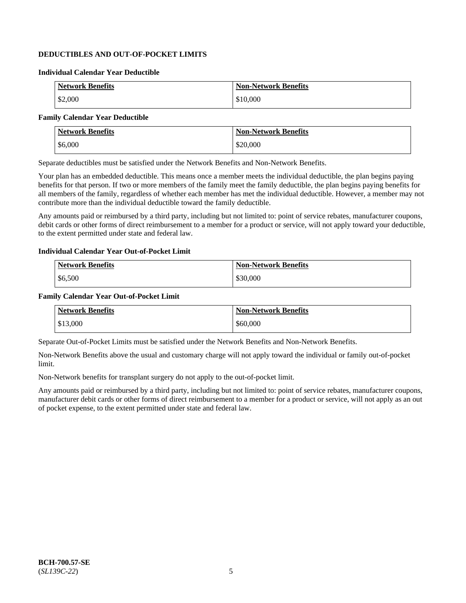# **DEDUCTIBLES AND OUT-OF-POCKET LIMITS**

### **Individual Calendar Year Deductible**

| <b>Network Benefits</b> | <b>Non-Network Benefits</b> |
|-------------------------|-----------------------------|
| \$2,000                 | \$10,000                    |

### **Family Calendar Year Deductible**

| <b>Network Benefits</b> | <b>Non-Network Benefits</b> |
|-------------------------|-----------------------------|
| \$6,000                 | \$20,000                    |

Separate deductibles must be satisfied under the Network Benefits and Non-Network Benefits.

Your plan has an embedded deductible. This means once a member meets the individual deductible, the plan begins paying benefits for that person. If two or more members of the family meet the family deductible, the plan begins paying benefits for all members of the family, regardless of whether each member has met the individual deductible. However, a member may not contribute more than the individual deductible toward the family deductible.

Any amounts paid or reimbursed by a third party, including but not limited to: point of service rebates, manufacturer coupons, debit cards or other forms of direct reimbursement to a member for a product or service, will not apply toward your deductible, to the extent permitted under state and federal law.

#### **Individual Calendar Year Out-of-Pocket Limit**

| <b>Network Benefits</b> | <b>Non-Network Benefits</b> |
|-------------------------|-----------------------------|
| \$6,500                 | \$30,000                    |

#### **Family Calendar Year Out-of-Pocket Limit**

| <b>Network Benefits</b> | Non-Network Benefits |
|-------------------------|----------------------|
| \$13,000                | \$60,000             |

Separate Out-of-Pocket Limits must be satisfied under the Network Benefits and Non-Network Benefits.

Non-Network Benefits above the usual and customary charge will not apply toward the individual or family out-of-pocket limit.

Non-Network benefits for transplant surgery do not apply to the out-of-pocket limit.

Any amounts paid or reimbursed by a third party, including but not limited to: point of service rebates, manufacturer coupons, manufacturer debit cards or other forms of direct reimbursement to a member for a product or service, will not apply as an out of pocket expense, to the extent permitted under state and federal law.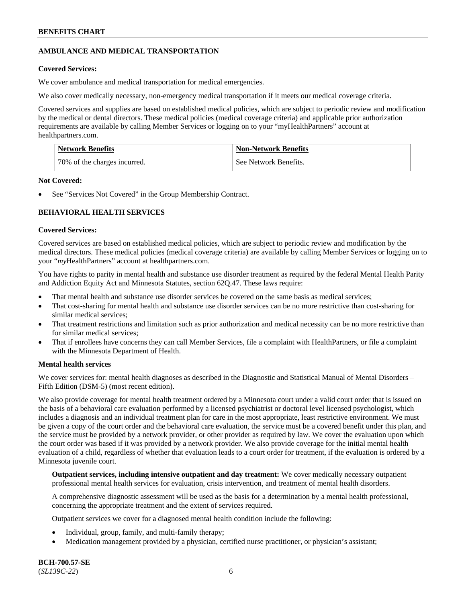# **AMBULANCE AND MEDICAL TRANSPORTATION**

# **Covered Services:**

We cover ambulance and medical transportation for medical emergencies.

We also cover medically necessary, non-emergency medical transportation if it meets our medical coverage criteria.

Covered services and supplies are based on established medical policies, which are subject to periodic review and modification by the medical or dental directors. These medical policies (medical coverage criteria) and applicable prior authorization requirements are available by calling Member Services or logging on to your "myHealthPartners" account at [healthpartners.com.](https://www.healthpartners.com/hp/index.html)

| Network Benefits             | <b>Non-Network Benefits</b> |
|------------------------------|-----------------------------|
| 70% of the charges incurred. | See Network Benefits.       |

### **Not Covered:**

See "Services Not Covered" in the Group Membership Contract.

# **BEHAVIORAL HEALTH SERVICES**

# **Covered Services:**

Covered services are based on established medical policies, which are subject to periodic review and modification by the medical directors. These medical policies (medical coverage criteria) are available by calling Member Services or logging on to your "*my*HealthPartners" account at [healthpartners.com.](http://www.healthpartners.com/)

You have rights to parity in mental health and substance use disorder treatment as required by the federal Mental Health Parity and Addiction Equity Act and Minnesota Statutes, section 62Q.47. These laws require:

- That mental health and substance use disorder services be covered on the same basis as medical services;
- That cost-sharing for mental health and substance use disorder services can be no more restrictive than cost-sharing for similar medical services;
- That treatment restrictions and limitation such as prior authorization and medical necessity can be no more restrictive than for similar medical services;
- That if enrollees have concerns they can call Member Services, file a complaint with HealthPartners, or file a complaint with the Minnesota Department of Health.

### **Mental health services**

We cover services for: mental health diagnoses as described in the Diagnostic and Statistical Manual of Mental Disorders – Fifth Edition (DSM-5) (most recent edition).

We also provide coverage for mental health treatment ordered by a Minnesota court under a valid court order that is issued on the basis of a behavioral care evaluation performed by a licensed psychiatrist or doctoral level licensed psychologist, which includes a diagnosis and an individual treatment plan for care in the most appropriate, least restrictive environment. We must be given a copy of the court order and the behavioral care evaluation, the service must be a covered benefit under this plan, and the service must be provided by a network provider, or other provider as required by law. We cover the evaluation upon which the court order was based if it was provided by a network provider. We also provide coverage for the initial mental health evaluation of a child, regardless of whether that evaluation leads to a court order for treatment, if the evaluation is ordered by a Minnesota juvenile court.

**Outpatient services, including intensive outpatient and day treatment:** We cover medically necessary outpatient professional mental health services for evaluation, crisis intervention, and treatment of mental health disorders.

A comprehensive diagnostic assessment will be used as the basis for a determination by a mental health professional, concerning the appropriate treatment and the extent of services required.

Outpatient services we cover for a diagnosed mental health condition include the following:

- Individual, group, family, and multi-family therapy;
- Medication management provided by a physician, certified nurse practitioner, or physician's assistant;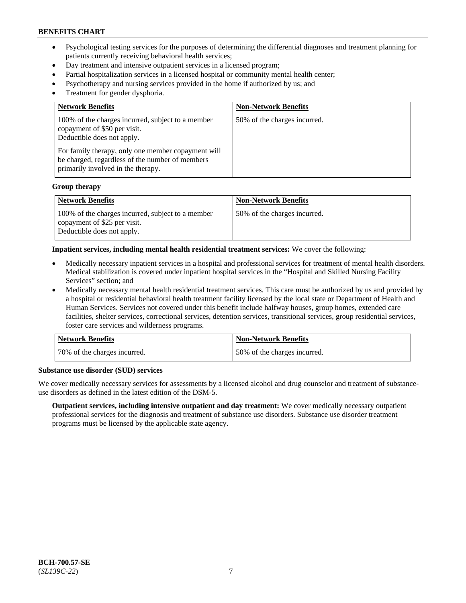- Psychological testing services for the purposes of determining the differential diagnoses and treatment planning for patients currently receiving behavioral health services;
- Day treatment and intensive outpatient services in a licensed program;
- Partial hospitalization services in a licensed hospital or community mental health center;
- Psychotherapy and nursing services provided in the home if authorized by us; and
- Treatment for gender dysphoria.

| <b>Non-Network Benefits</b>  |
|------------------------------|
| 50% of the charges incurred. |
|                              |

#### **Group therapy**

| Network Benefits                                                                                                | <b>Non-Network Benefits</b>   |
|-----------------------------------------------------------------------------------------------------------------|-------------------------------|
| 100% of the charges incurred, subject to a member<br>copayment of \$25 per visit.<br>Deductible does not apply. | 150% of the charges incurred. |

#### **Inpatient services, including mental health residential treatment services:** We cover the following:

- Medically necessary inpatient services in a hospital and professional services for treatment of mental health disorders. Medical stabilization is covered under inpatient hospital services in the "Hospital and Skilled Nursing Facility Services" section; and
- Medically necessary mental health residential treatment services. This care must be authorized by us and provided by a hospital or residential behavioral health treatment facility licensed by the local state or Department of Health and Human Services. Services not covered under this benefit include halfway houses, group homes, extended care facilities, shelter services, correctional services, detention services, transitional services, group residential services, foster care services and wilderness programs.

| <b>Network Benefits</b>      | <b>Non-Network Benefits</b>  |
|------------------------------|------------------------------|
| 70% of the charges incurred. | 50% of the charges incurred. |

#### **Substance use disorder (SUD) services**

We cover medically necessary services for assessments by a licensed alcohol and drug counselor and treatment of substanceuse disorders as defined in the latest edition of the DSM-5.

**Outpatient services, including intensive outpatient and day treatment:** We cover medically necessary outpatient professional services for the diagnosis and treatment of substance use disorders. Substance use disorder treatment programs must be licensed by the applicable state agency.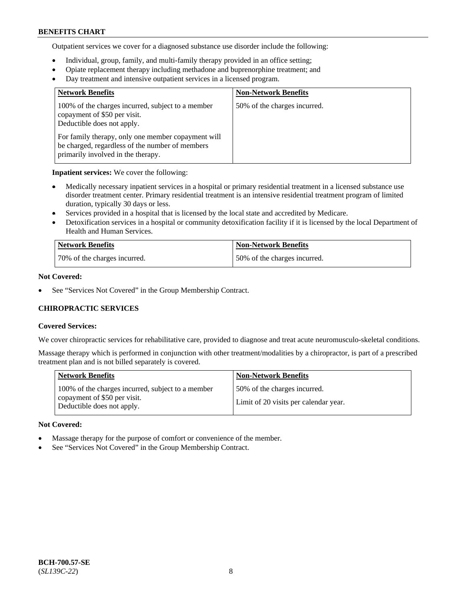Outpatient services we cover for a diagnosed substance use disorder include the following:

- Individual, group, family, and multi-family therapy provided in an office setting;
- Opiate replacement therapy including methadone and buprenorphine treatment; and
- Day treatment and intensive outpatient services in a licensed program.

| <b>Network Benefits</b>                                                                                                                     | <b>Non-Network Benefits</b>  |
|---------------------------------------------------------------------------------------------------------------------------------------------|------------------------------|
| 100% of the charges incurred, subject to a member<br>copayment of \$50 per visit.<br>Deductible does not apply.                             | 50% of the charges incurred. |
| For family therapy, only one member copayment will<br>be charged, regardless of the number of members<br>primarily involved in the therapy. |                              |

**Inpatient services:** We cover the following:

- Medically necessary inpatient services in a hospital or primary residential treatment in a licensed substance use disorder treatment center. Primary residential treatment is an intensive residential treatment program of limited duration, typically 30 days or less.
- Services provided in a hospital that is licensed by the local state and accredited by Medicare.
- Detoxification services in a hospital or community detoxification facility if it is licensed by the local Department of Health and Human Services.

| Network Benefits             | <b>Non-Network Benefits</b>  |
|------------------------------|------------------------------|
| 70% of the charges incurred. | 50% of the charges incurred. |

# **Not Covered:**

See "Services Not Covered" in the Group Membership Contract.

# **CHIROPRACTIC SERVICES**

### **Covered Services:**

We cover chiropractic services for rehabilitative care, provided to diagnose and treat acute neuromusculo-skeletal conditions.

Massage therapy which is performed in conjunction with other treatment/modalities by a chiropractor, is part of a prescribed treatment plan and is not billed separately is covered.

| <b>Network Benefits</b>                                                                                         | <b>Non-Network Benefits</b>                                           |
|-----------------------------------------------------------------------------------------------------------------|-----------------------------------------------------------------------|
| 100% of the charges incurred, subject to a member<br>copayment of \$50 per visit.<br>Deductible does not apply. | 50% of the charges incurred.<br>Limit of 20 visits per calendar year. |

### **Not Covered:**

- Massage therapy for the purpose of comfort or convenience of the member.
- See "Services Not Covered" in the Group Membership Contract.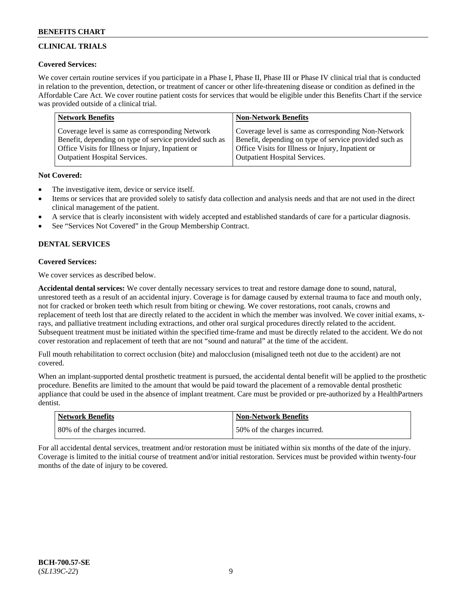# **CLINICAL TRIALS**

## **Covered Services:**

We cover certain routine services if you participate in a Phase I, Phase II, Phase III or Phase IV clinical trial that is conducted in relation to the prevention, detection, or treatment of cancer or other life-threatening disease or condition as defined in the Affordable Care Act. We cover routine patient costs for services that would be eligible under this Benefits Chart if the service was provided outside of a clinical trial.

| <b>Network Benefits</b>                                | <b>Non-Network Benefits</b>                            |
|--------------------------------------------------------|--------------------------------------------------------|
| Coverage level is same as corresponding Network        | Coverage level is same as corresponding Non-Network    |
| Benefit, depending on type of service provided such as | Benefit, depending on type of service provided such as |
| Office Visits for Illness or Injury, Inpatient or      | Office Visits for Illness or Injury, Inpatient or      |
| <b>Outpatient Hospital Services.</b>                   | <b>Outpatient Hospital Services.</b>                   |

### **Not Covered:**

- The investigative item, device or service itself.
- Items or services that are provided solely to satisfy data collection and analysis needs and that are not used in the direct clinical management of the patient.
- A service that is clearly inconsistent with widely accepted and established standards of care for a particular diagnosis.
- See "Services Not Covered" in the Group Membership Contract.

# **DENTAL SERVICES**

# **Covered Services:**

We cover services as described below.

**Accidental dental services:** We cover dentally necessary services to treat and restore damage done to sound, natural, unrestored teeth as a result of an accidental injury. Coverage is for damage caused by external trauma to face and mouth only, not for cracked or broken teeth which result from biting or chewing. We cover restorations, root canals, crowns and replacement of teeth lost that are directly related to the accident in which the member was involved. We cover initial exams, xrays, and palliative treatment including extractions, and other oral surgical procedures directly related to the accident. Subsequent treatment must be initiated within the specified time-frame and must be directly related to the accident. We do not cover restoration and replacement of teeth that are not "sound and natural" at the time of the accident.

Full mouth rehabilitation to correct occlusion (bite) and malocclusion (misaligned teeth not due to the accident) are not covered.

When an implant-supported dental prosthetic treatment is pursued, the accidental dental benefit will be applied to the prosthetic procedure. Benefits are limited to the amount that would be paid toward the placement of a removable dental prosthetic appliance that could be used in the absence of implant treatment. Care must be provided or pre-authorized by a HealthPartners dentist.

| <b>Network Benefits</b>      | <b>Non-Network Benefits</b>   |
|------------------------------|-------------------------------|
| 80% of the charges incurred. | 150% of the charges incurred. |

For all accidental dental services, treatment and/or restoration must be initiated within six months of the date of the injury. Coverage is limited to the initial course of treatment and/or initial restoration. Services must be provided within twenty-four months of the date of injury to be covered.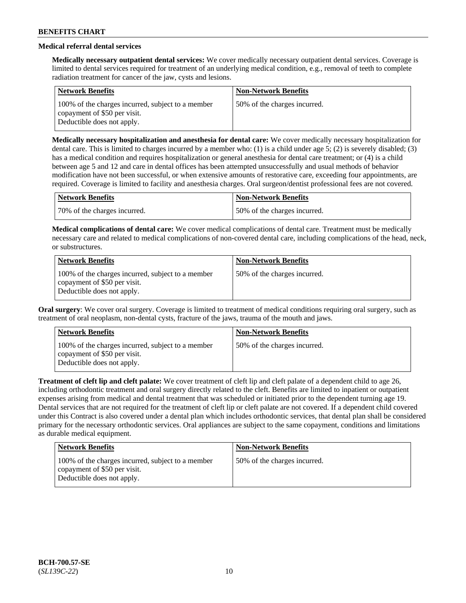# **Medical referral dental services**

**Medically necessary outpatient dental services:** We cover medically necessary outpatient dental services. Coverage is limited to dental services required for treatment of an underlying medical condition, e.g., removal of teeth to complete radiation treatment for cancer of the jaw, cysts and lesions.

| <b>Network Benefits</b>                                                                                         | <b>Non-Network Benefits</b>  |
|-----------------------------------------------------------------------------------------------------------------|------------------------------|
| 100% of the charges incurred, subject to a member<br>copayment of \$50 per visit.<br>Deductible does not apply. | 50% of the charges incurred. |

**Medically necessary hospitalization and anesthesia for dental care:** We cover medically necessary hospitalization for dental care. This is limited to charges incurred by a member who: (1) is a child under age 5; (2) is severely disabled; (3) has a medical condition and requires hospitalization or general anesthesia for dental care treatment; or (4) is a child between age 5 and 12 and care in dental offices has been attempted unsuccessfully and usual methods of behavior modification have not been successful, or when extensive amounts of restorative care, exceeding four appointments, are required. Coverage is limited to facility and anesthesia charges. Oral surgeon/dentist professional fees are not covered.

| Network Benefits             | <b>Non-Network Benefits</b>  |
|------------------------------|------------------------------|
| 70% of the charges incurred. | 50% of the charges incurred. |

**Medical complications of dental care:** We cover medical complications of dental care. Treatment must be medically necessary care and related to medical complications of non-covered dental care, including complications of the head, neck, or substructures.

| <b>Network Benefits</b>                                                                                         | <b>Non-Network Benefits</b>  |
|-----------------------------------------------------------------------------------------------------------------|------------------------------|
| 100% of the charges incurred, subject to a member<br>copayment of \$50 per visit.<br>Deductible does not apply. | 50% of the charges incurred. |

**Oral surgery**: We cover oral surgery. Coverage is limited to treatment of medical conditions requiring oral surgery, such as treatment of oral neoplasm, non-dental cysts, fracture of the jaws, trauma of the mouth and jaws.

| <b>Network Benefits</b>                                                                                         | <b>Non-Network Benefits</b>  |
|-----------------------------------------------------------------------------------------------------------------|------------------------------|
| 100% of the charges incurred, subject to a member<br>copayment of \$50 per visit.<br>Deductible does not apply. | 50% of the charges incurred. |

**Treatment of cleft lip and cleft palate:** We cover treatment of cleft lip and cleft palate of a dependent child to age 26, including orthodontic treatment and oral surgery directly related to the cleft. Benefits are limited to inpatient or outpatient expenses arising from medical and dental treatment that was scheduled or initiated prior to the dependent turning age 19. Dental services that are not required for the treatment of cleft lip or cleft palate are not covered. If a dependent child covered under this Contract is also covered under a dental plan which includes orthodontic services, that dental plan shall be considered primary for the necessary orthodontic services. Oral appliances are subject to the same copayment, conditions and limitations as durable medical equipment.

| <b>Network Benefits</b>                                                                                         | <b>Non-Network Benefits</b>  |
|-----------------------------------------------------------------------------------------------------------------|------------------------------|
| 100% of the charges incurred, subject to a member<br>copayment of \$50 per visit.<br>Deductible does not apply. | 50% of the charges incurred. |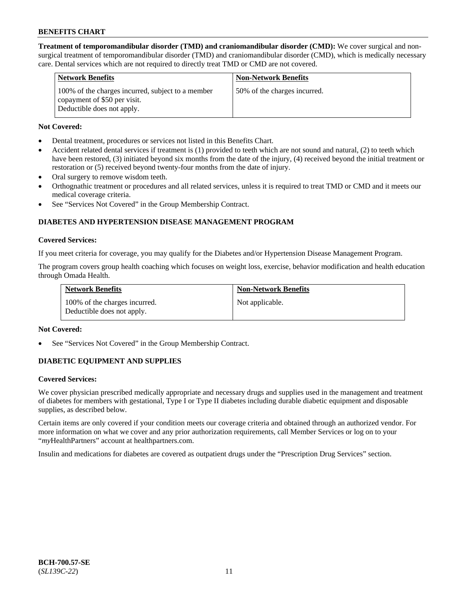**Treatment of temporomandibular disorder (TMD) and craniomandibular disorder (CMD):** We cover surgical and nonsurgical treatment of temporomandibular disorder (TMD) and craniomandibular disorder (CMD), which is medically necessary care. Dental services which are not required to directly treat TMD or CMD are not covered.

| <b>Network Benefits</b>                                                                                         | <b>Non-Network Benefits</b>  |
|-----------------------------------------------------------------------------------------------------------------|------------------------------|
| 100% of the charges incurred, subject to a member<br>copayment of \$50 per visit.<br>Deductible does not apply. | 50% of the charges incurred. |

### **Not Covered:**

- Dental treatment, procedures or services not listed in this Benefits Chart.
- Accident related dental services if treatment is (1) provided to teeth which are not sound and natural, (2) to teeth which have been restored, (3) initiated beyond six months from the date of the injury, (4) received beyond the initial treatment or restoration or (5) received beyond twenty-four months from the date of injury.
- Oral surgery to remove wisdom teeth.
- Orthognathic treatment or procedures and all related services, unless it is required to treat TMD or CMD and it meets our medical coverage criteria.
- See "Services Not Covered" in the Group Membership Contract.

# **DIABETES AND HYPERTENSION DISEASE MANAGEMENT PROGRAM**

#### **Covered Services:**

If you meet criteria for coverage, you may qualify for the Diabetes and/or Hypertension Disease Management Program.

The program covers group health coaching which focuses on weight loss, exercise, behavior modification and health education through Omada Health.

| <b>Network Benefits</b>                                     | <b>Non-Network Benefits</b> |
|-------------------------------------------------------------|-----------------------------|
| 100% of the charges incurred.<br>Deductible does not apply. | Not applicable.             |

### **Not Covered:**

See "Services Not Covered" in the Group Membership Contract.

### **DIABETIC EQUIPMENT AND SUPPLIES**

### **Covered Services:**

We cover physician prescribed medically appropriate and necessary drugs and supplies used in the management and treatment of diabetes for members with gestational, Type I or Type II diabetes including durable diabetic equipment and disposable supplies, as described below.

Certain items are only covered if your condition meets our coverage criteria and obtained through an authorized vendor. For more information on what we cover and any prior authorization requirements, call Member Services or log on to your "*my*HealthPartners" account at [healthpartners.com.](http://www.healthpartners.com/)

Insulin and medications for diabetes are covered as outpatient drugs under the "Prescription Drug Services" section.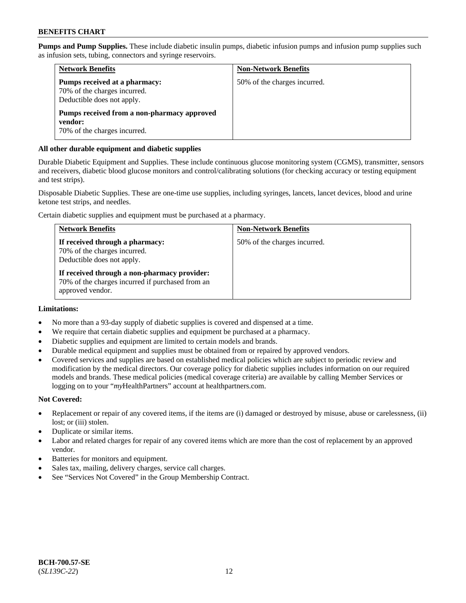**Pumps and Pump Supplies.** These include diabetic insulin pumps, diabetic infusion pumps and infusion pump supplies such as infusion sets, tubing, connectors and syringe reservoirs.

| <b>Network Benefits</b>                                                                     | <b>Non-Network Benefits</b>  |
|---------------------------------------------------------------------------------------------|------------------------------|
| Pumps received at a pharmacy:<br>70% of the charges incurred.<br>Deductible does not apply. | 50% of the charges incurred. |
| Pumps received from a non-pharmacy approved<br>vendor:<br>70% of the charges incurred.      |                              |

## **All other durable equipment and diabetic supplies**

Durable Diabetic Equipment and Supplies. These include continuous glucose monitoring system (CGMS), transmitter, sensors and receivers, diabetic blood glucose monitors and control/calibrating solutions (for checking accuracy or testing equipment and test strips).

Disposable Diabetic Supplies. These are one-time use supplies, including syringes, lancets, lancet devices, blood and urine ketone test strips, and needles.

Certain diabetic supplies and equipment must be purchased at a pharmacy.

| <b>Network Benefits</b>                                                                                              | <b>Non-Network Benefits</b>  |
|----------------------------------------------------------------------------------------------------------------------|------------------------------|
| If received through a pharmacy:<br>70% of the charges incurred.<br>Deductible does not apply.                        | 50% of the charges incurred. |
| If received through a non-pharmacy provider:<br>70% of the charges incurred if purchased from an<br>approved vendor. |                              |

### **Limitations:**

- No more than a 93-day supply of diabetic supplies is covered and dispensed at a time.
- We require that certain diabetic supplies and equipment be purchased at a pharmacy.
- Diabetic supplies and equipment are limited to certain models and brands.
- Durable medical equipment and supplies must be obtained from or repaired by approved vendors.
- Covered services and supplies are based on established medical policies which are subject to periodic review and modification by the medical directors. Our coverage policy for diabetic supplies includes information on our required models and brands. These medical policies (medical coverage criteria) are available by calling Member Services or logging on to your "*my*HealthPartners" account at [healthpartners.com.](http://www.healthpartners.com/)

### **Not Covered:**

- Replacement or repair of any covered items, if the items are (i) damaged or destroyed by misuse, abuse or carelessness, (ii) lost; or (iii) stolen.
- Duplicate or similar items.
- Labor and related charges for repair of any covered items which are more than the cost of replacement by an approved vendor.
- Batteries for monitors and equipment.
- Sales tax, mailing, delivery charges, service call charges.
- See "Services Not Covered" in the Group Membership Contract.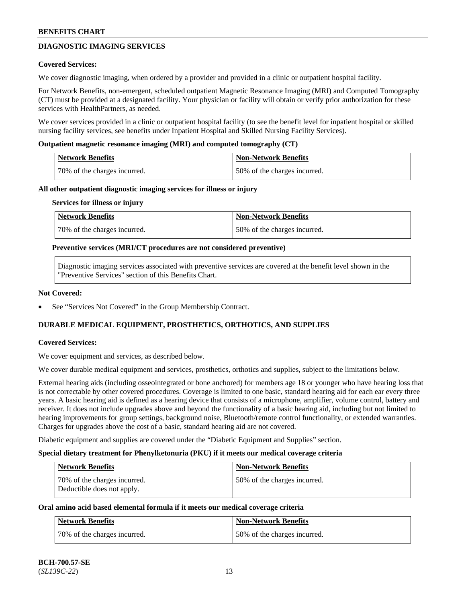# **DIAGNOSTIC IMAGING SERVICES**

### **Covered Services:**

We cover diagnostic imaging, when ordered by a provider and provided in a clinic or outpatient hospital facility.

For Network Benefits, non-emergent, scheduled outpatient Magnetic Resonance Imaging (MRI) and Computed Tomography (CT) must be provided at a designated facility. Your physician or facility will obtain or verify prior authorization for these services with HealthPartners, as needed.

We cover services provided in a clinic or outpatient hospital facility (to see the benefit level for inpatient hospital or skilled nursing facility services, see benefits under Inpatient Hospital and Skilled Nursing Facility Services).

#### **Outpatient magnetic resonance imaging (MRI) and computed tomography (CT)**

| Network Benefits             | Non-Network Benefits         |
|------------------------------|------------------------------|
| 70% of the charges incurred. | 50% of the charges incurred. |

#### **All other outpatient diagnostic imaging services for illness or injury**

#### **Services for illness or injury**

| Network Benefits             | Non-Network Benefits         |
|------------------------------|------------------------------|
| 70% of the charges incurred. | 50% of the charges incurred. |

#### **Preventive services (MRI/CT procedures are not considered preventive)**

Diagnostic imaging services associated with preventive services are covered at the benefit level shown in the "Preventive Services" section of this Benefits Chart.

#### **Not Covered:**

See "Services Not Covered" in the Group Membership Contract.

### **DURABLE MEDICAL EQUIPMENT, PROSTHETICS, ORTHOTICS, AND SUPPLIES**

### **Covered Services:**

We cover equipment and services, as described below.

We cover durable medical equipment and services, prosthetics, orthotics and supplies, subject to the limitations below.

External hearing aids (including osseointegrated or bone anchored) for members age 18 or younger who have hearing loss that is not correctable by other covered procedures. Coverage is limited to one basic, standard hearing aid for each ear every three years. A basic hearing aid is defined as a hearing device that consists of a microphone, amplifier, volume control, battery and receiver. It does not include upgrades above and beyond the functionality of a basic hearing aid, including but not limited to hearing improvements for group settings, background noise, Bluetooth/remote control functionality, or extended warranties. Charges for upgrades above the cost of a basic, standard hearing aid are not covered.

Diabetic equipment and supplies are covered under the "Diabetic Equipment and Supplies" section.

#### **Special dietary treatment for Phenylketonuria (PKU) if it meets our medical coverage criteria**

| <b>Network Benefits</b>                                    | <b>Non-Network Benefits</b>  |
|------------------------------------------------------------|------------------------------|
| 70% of the charges incurred.<br>Deductible does not apply. | 50% of the charges incurred. |

### **Oral amino acid based elemental formula if it meets our medical coverage criteria**

| Network Benefits             | Non-Network Benefits         |
|------------------------------|------------------------------|
| 70% of the charges incurred. | 50% of the charges incurred. |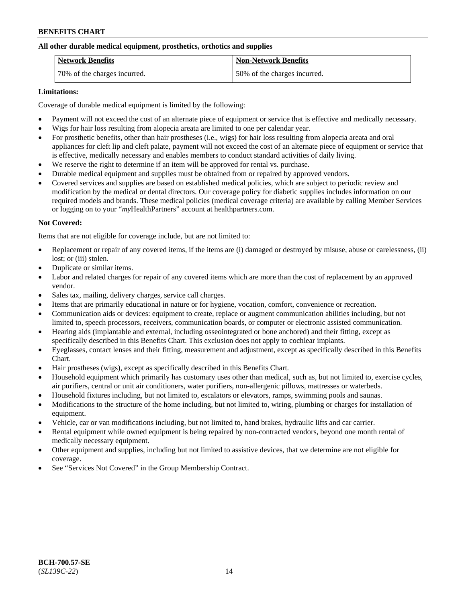## **All other durable medical equipment, prosthetics, orthotics and supplies**

| <b>Network Benefits</b>      | <b>Non-Network Benefits</b>  |
|------------------------------|------------------------------|
| 70% of the charges incurred. | 50% of the charges incurred. |

### **Limitations:**

Coverage of durable medical equipment is limited by the following:

- Payment will not exceed the cost of an alternate piece of equipment or service that is effective and medically necessary.
- Wigs for hair loss resulting from alopecia areata are limited to one per calendar year.
- For prosthetic benefits, other than hair prostheses (i.e., wigs) for hair loss resulting from alopecia areata and oral appliances for cleft lip and cleft palate, payment will not exceed the cost of an alternate piece of equipment or service that is effective, medically necessary and enables members to conduct standard activities of daily living.
- We reserve the right to determine if an item will be approved for rental vs. purchase.
- Durable medical equipment and supplies must be obtained from or repaired by approved vendors.
- Covered services and supplies are based on established medical policies, which are subject to periodic review and modification by the medical or dental directors. Our coverage policy for diabetic supplies includes information on our required models and brands. These medical policies (medical coverage criteria) are available by calling Member Services or logging on to your "*my*HealthPartners" account a[t healthpartners.com.](https://www.healthpartners.com/hp/index.html)

# **Not Covered:**

Items that are not eligible for coverage include, but are not limited to:

- Replacement or repair of any covered items, if the items are (i) damaged or destroyed by misuse, abuse or carelessness, (ii) lost; or (iii) stolen.
- Duplicate or similar items.
- Labor and related charges for repair of any covered items which are more than the cost of replacement by an approved vendor.
- Sales tax, mailing, delivery charges, service call charges.
- Items that are primarily educational in nature or for hygiene, vocation, comfort, convenience or recreation.
- Communication aids or devices: equipment to create, replace or augment communication abilities including, but not limited to, speech processors, receivers, communication boards, or computer or electronic assisted communication.
- Hearing aids (implantable and external, including osseointegrated or bone anchored) and their fitting, except as specifically described in this Benefits Chart. This exclusion does not apply to cochlear implants.
- Eyeglasses, contact lenses and their fitting, measurement and adjustment, except as specifically described in this Benefits Chart.
- Hair prostheses (wigs), except as specifically described in this Benefits Chart.
- Household equipment which primarily has customary uses other than medical, such as, but not limited to, exercise cycles, air purifiers, central or unit air conditioners, water purifiers, non-allergenic pillows, mattresses or waterbeds.
- Household fixtures including, but not limited to, escalators or elevators, ramps, swimming pools and saunas.
- Modifications to the structure of the home including, but not limited to, wiring, plumbing or charges for installation of equipment.
- Vehicle, car or van modifications including, but not limited to, hand brakes, hydraulic lifts and car carrier.
- Rental equipment while owned equipment is being repaired by non-contracted vendors, beyond one month rental of medically necessary equipment.
- Other equipment and supplies, including but not limited to assistive devices, that we determine are not eligible for coverage.
- See "Services Not Covered" in the Group Membership Contract.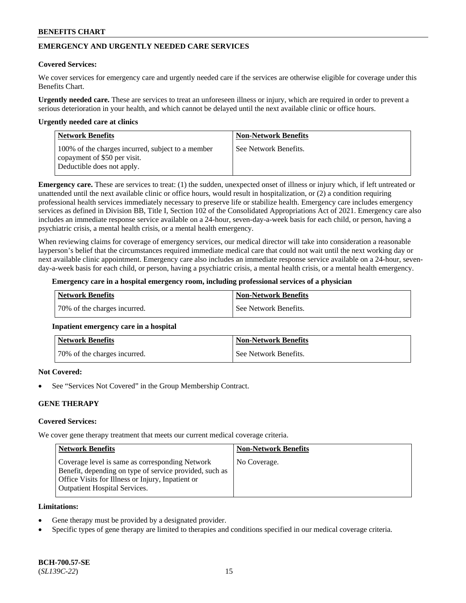# **EMERGENCY AND URGENTLY NEEDED CARE SERVICES**

#### **Covered Services:**

We cover services for emergency care and urgently needed care if the services are otherwise eligible for coverage under this Benefits Chart.

**Urgently needed care.** These are services to treat an unforeseen illness or injury, which are required in order to prevent a serious deterioration in your health, and which cannot be delayed until the next available clinic or office hours.

#### **Urgently needed care at clinics**

| <b>Network Benefits</b>                                                                                         | <b>Non-Network Benefits</b> |
|-----------------------------------------------------------------------------------------------------------------|-----------------------------|
| 100% of the charges incurred, subject to a member<br>copayment of \$50 per visit.<br>Deductible does not apply. | See Network Benefits.       |

**Emergency care.** These are services to treat: (1) the sudden, unexpected onset of illness or injury which, if left untreated or unattended until the next available clinic or office hours, would result in hospitalization, or (2) a condition requiring professional health services immediately necessary to preserve life or stabilize health. Emergency care includes emergency services as defined in Division BB, Title I, Section 102 of the Consolidated Appropriations Act of 2021. Emergency care also includes an immediate response service available on a 24-hour, seven-day-a-week basis for each child, or person, having a psychiatric crisis, a mental health crisis, or a mental health emergency.

When reviewing claims for coverage of emergency services, our medical director will take into consideration a reasonable layperson's belief that the circumstances required immediate medical care that could not wait until the next working day or next available clinic appointment. Emergency care also includes an immediate response service available on a 24-hour, sevenday-a-week basis for each child, or person, having a psychiatric crisis, a mental health crisis, or a mental health emergency.

#### **Emergency care in a hospital emergency room, including professional services of a physician**

| Network Benefits             | Non-Network Benefits  |
|------------------------------|-----------------------|
| 70% of the charges incurred. | See Network Benefits. |

### **Inpatient emergency care in a hospital**

| <b>Network Benefits</b>      | Non-Network Benefits  |
|------------------------------|-----------------------|
| 70% of the charges incurred. | See Network Benefits. |

### **Not Covered:**

See "Services Not Covered" in the Group Membership Contract.

### **GENE THERAPY**

# **Covered Services:**

We cover gene therapy treatment that meets our current medical coverage criteria.

| <b>Network Benefits</b>                                                                                                                                                                                 | <b>Non-Network Benefits</b> |
|---------------------------------------------------------------------------------------------------------------------------------------------------------------------------------------------------------|-----------------------------|
| Coverage level is same as corresponding Network<br>Benefit, depending on type of service provided, such as<br>Office Visits for Illness or Injury, Inpatient or<br><b>Outpatient Hospital Services.</b> | No Coverage.                |

#### **Limitations:**

- Gene therapy must be provided by a designated provider.
- Specific types of gene therapy are limited to therapies and conditions specified in our medical coverage criteria.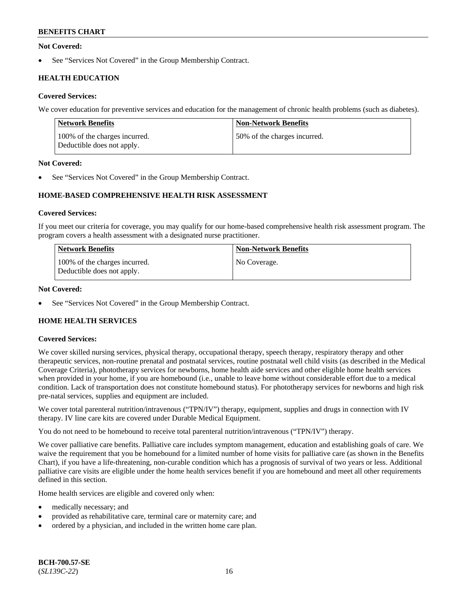### **Not Covered:**

See "Services Not Covered" in the Group Membership Contract.

# **HEALTH EDUCATION**

### **Covered Services:**

We cover education for preventive services and education for the management of chronic health problems (such as diabetes).

| <b>Network Benefits</b>                                     | <b>Non-Network Benefits</b>  |
|-------------------------------------------------------------|------------------------------|
| 100% of the charges incurred.<br>Deductible does not apply. | 50% of the charges incurred. |

### **Not Covered:**

See "Services Not Covered" in the Group Membership Contract.

# **HOME-BASED COMPREHENSIVE HEALTH RISK ASSESSMENT**

#### **Covered Services:**

If you meet our criteria for coverage, you may qualify for our home-based comprehensive health risk assessment program. The program covers a health assessment with a designated nurse practitioner.

| <b>Network Benefits</b>                                     | <b>Non-Network Benefits</b> |
|-------------------------------------------------------------|-----------------------------|
| 100% of the charges incurred.<br>Deductible does not apply. | No Coverage.                |

### **Not Covered:**

See "Services Not Covered" in the Group Membership Contract.

# **HOME HEALTH SERVICES**

### **Covered Services:**

We cover skilled nursing services, physical therapy, occupational therapy, speech therapy, respiratory therapy and other therapeutic services, non-routine prenatal and postnatal services, routine postnatal well child visits (as described in the Medical Coverage Criteria), phototherapy services for newborns, home health aide services and other eligible home health services when provided in your home, if you are homebound (i.e., unable to leave home without considerable effort due to a medical condition. Lack of transportation does not constitute homebound status). For phototherapy services for newborns and high risk pre-natal services, supplies and equipment are included.

We cover total parenteral nutrition/intravenous ("TPN/IV") therapy, equipment, supplies and drugs in connection with IV therapy. IV line care kits are covered under Durable Medical Equipment.

You do not need to be homebound to receive total parenteral nutrition/intravenous ("TPN/IV") therapy.

We cover palliative care benefits. Palliative care includes symptom management, education and establishing goals of care. We waive the requirement that you be homebound for a limited number of home visits for palliative care (as shown in the Benefits Chart), if you have a life-threatening, non-curable condition which has a prognosis of survival of two years or less. Additional palliative care visits are eligible under the home health services benefit if you are homebound and meet all other requirements defined in this section.

Home health services are eligible and covered only when:

- medically necessary; and
- provided as rehabilitative care, terminal care or maternity care; and
- ordered by a physician, and included in the written home care plan.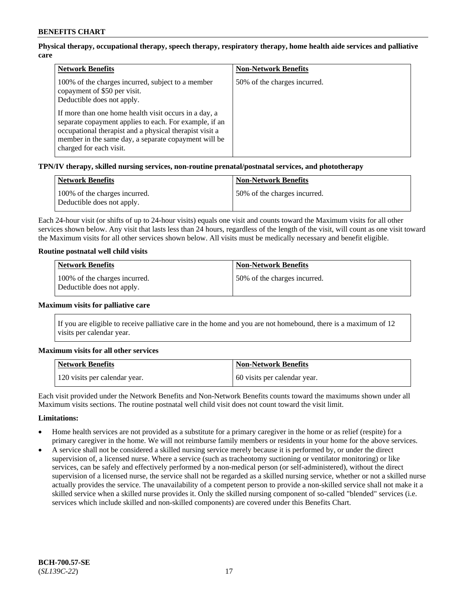# **Physical therapy, occupational therapy, speech therapy, respiratory therapy, home health aide services and palliative care**

| <b>Network Benefits</b>                                                                                                                                                                                                                                                                                                                                                          | <b>Non-Network Benefits</b>  |
|----------------------------------------------------------------------------------------------------------------------------------------------------------------------------------------------------------------------------------------------------------------------------------------------------------------------------------------------------------------------------------|------------------------------|
| 100% of the charges incurred, subject to a member<br>copayment of \$50 per visit.<br>Deductible does not apply.<br>If more than one home health visit occurs in a day, a<br>separate copayment applies to each. For example, if an<br>occupational therapist and a physical therapist visit a<br>member in the same day, a separate copayment will be<br>charged for each visit. | 50% of the charges incurred. |

### **TPN/IV therapy, skilled nursing services, non-routine prenatal/postnatal services, and phototherapy**

| <b>Network Benefits</b>                                     | <b>Non-Network Benefits</b>  |
|-------------------------------------------------------------|------------------------------|
| 100% of the charges incurred.<br>Deductible does not apply. | 50% of the charges incurred. |

Each 24-hour visit (or shifts of up to 24-hour visits) equals one visit and counts toward the Maximum visits for all other services shown below. Any visit that lasts less than 24 hours, regardless of the length of the visit, will count as one visit toward the Maximum visits for all other services shown below. All visits must be medically necessary and benefit eligible.

### **Routine postnatal well child visits**

| <b>Network Benefits</b>                                     | <b>Non-Network Benefits</b>  |
|-------------------------------------------------------------|------------------------------|
| 100% of the charges incurred.<br>Deductible does not apply. | 50% of the charges incurred. |

#### **Maximum visits for palliative care**

If you are eligible to receive palliative care in the home and you are not homebound, there is a maximum of 12 visits per calendar year.

### **Maximum visits for all other services**

| <b>Network Benefits</b>       | <b>Non-Network Benefits</b>  |
|-------------------------------|------------------------------|
| 120 visits per calendar year. | 60 visits per calendar year. |

Each visit provided under the Network Benefits and Non-Network Benefits counts toward the maximums shown under all Maximum visits sections. The routine postnatal well child visit does not count toward the visit limit.

### **Limitations:**

- Home health services are not provided as a substitute for a primary caregiver in the home or as relief (respite) for a primary caregiver in the home. We will not reimburse family members or residents in your home for the above services.
- A service shall not be considered a skilled nursing service merely because it is performed by, or under the direct supervision of, a licensed nurse. Where a service (such as tracheotomy suctioning or ventilator monitoring) or like services, can be safely and effectively performed by a non-medical person (or self-administered), without the direct supervision of a licensed nurse, the service shall not be regarded as a skilled nursing service, whether or not a skilled nurse actually provides the service. The unavailability of a competent person to provide a non-skilled service shall not make it a skilled service when a skilled nurse provides it. Only the skilled nursing component of so-called "blended" services (i.e. services which include skilled and non-skilled components) are covered under this Benefits Chart.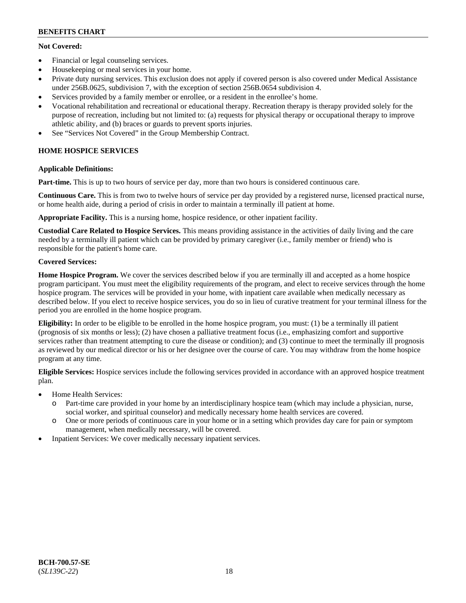# **Not Covered:**

- Financial or legal counseling services.
- Housekeeping or meal services in your home.
- Private duty nursing services. This exclusion does not apply if covered person is also covered under Medical Assistance under 256B.0625, subdivision 7, with the exception of section 256B.0654 subdivision 4.
- Services provided by a family member or enrollee, or a resident in the enrollee's home.
- Vocational rehabilitation and recreational or educational therapy. Recreation therapy is therapy provided solely for the purpose of recreation, including but not limited to: (a) requests for physical therapy or occupational therapy to improve athletic ability, and (b) braces or guards to prevent sports injuries.
- See "Services Not Covered" in the Group Membership Contract.

# **HOME HOSPICE SERVICES**

# **Applicable Definitions:**

**Part-time.** This is up to two hours of service per day, more than two hours is considered continuous care.

**Continuous Care.** This is from two to twelve hours of service per day provided by a registered nurse, licensed practical nurse, or home health aide, during a period of crisis in order to maintain a terminally ill patient at home.

**Appropriate Facility.** This is a nursing home, hospice residence, or other inpatient facility.

**Custodial Care Related to Hospice Services.** This means providing assistance in the activities of daily living and the care needed by a terminally ill patient which can be provided by primary caregiver (i.e., family member or friend) who is responsible for the patient's home care.

# **Covered Services:**

**Home Hospice Program.** We cover the services described below if you are terminally ill and accepted as a home hospice program participant. You must meet the eligibility requirements of the program, and elect to receive services through the home hospice program. The services will be provided in your home, with inpatient care available when medically necessary as described below. If you elect to receive hospice services, you do so in lieu of curative treatment for your terminal illness for the period you are enrolled in the home hospice program.

**Eligibility:** In order to be eligible to be enrolled in the home hospice program, you must: (1) be a terminally ill patient (prognosis of six months or less); (2) have chosen a palliative treatment focus (i.e., emphasizing comfort and supportive services rather than treatment attempting to cure the disease or condition); and (3) continue to meet the terminally ill prognosis as reviewed by our medical director or his or her designee over the course of care. You may withdraw from the home hospice program at any time.

**Eligible Services:** Hospice services include the following services provided in accordance with an approved hospice treatment plan.

- Home Health Services:
	- o Part-time care provided in your home by an interdisciplinary hospice team (which may include a physician, nurse, social worker, and spiritual counselor) and medically necessary home health services are covered.
	- o One or more periods of continuous care in your home or in a setting which provides day care for pain or symptom management, when medically necessary, will be covered.
- Inpatient Services: We cover medically necessary inpatient services.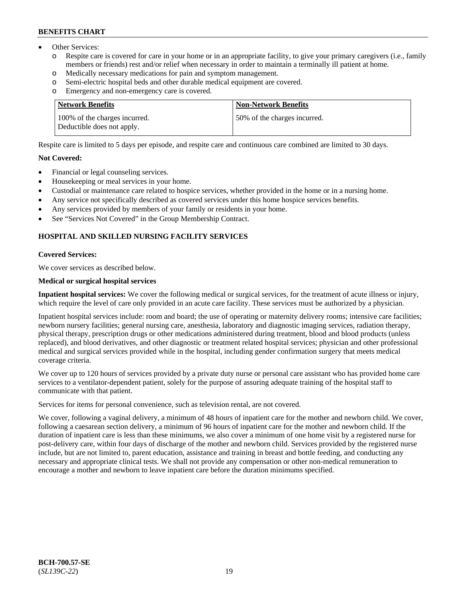- Other Services:
	- Respite care is covered for care in your home or in an appropriate facility, to give your primary caregivers (i.e., family members or friends) rest and/or relief when necessary in order to maintain a terminally ill patient at home.
	- o Medically necessary medications for pain and symptom management.
	- o Semi-electric hospital beds and other durable medical equipment are covered.
	- Emergency and non-emergency care is covered.

| <b>Network Benefits</b>                                     | <b>Non-Network Benefits</b>  |
|-------------------------------------------------------------|------------------------------|
| 100% of the charges incurred.<br>Deductible does not apply. | 50% of the charges incurred. |

Respite care is limited to 5 days per episode, and respite care and continuous care combined are limited to 30 days.

### **Not Covered:**

- Financial or legal counseling services.
- Housekeeping or meal services in your home.
- Custodial or maintenance care related to hospice services, whether provided in the home or in a nursing home.
- Any service not specifically described as covered services under this home hospice services benefits.
- Any services provided by members of your family or residents in your home.
- See "Services Not Covered" in the Group Membership Contract.

# **HOSPITAL AND SKILLED NURSING FACILITY SERVICES**

#### **Covered Services:**

We cover services as described below.

#### **Medical or surgical hospital services**

**Inpatient hospital services:** We cover the following medical or surgical services, for the treatment of acute illness or injury, which require the level of care only provided in an acute care facility. These services must be authorized by a physician.

Inpatient hospital services include: room and board; the use of operating or maternity delivery rooms; intensive care facilities; newborn nursery facilities; general nursing care, anesthesia, laboratory and diagnostic imaging services, radiation therapy, physical therapy, prescription drugs or other medications administered during treatment, blood and blood products (unless replaced), and blood derivatives, and other diagnostic or treatment related hospital services; physician and other professional medical and surgical services provided while in the hospital, including gender confirmation surgery that meets medical coverage criteria.

We cover up to 120 hours of services provided by a private duty nurse or personal care assistant who has provided home care services to a ventilator-dependent patient, solely for the purpose of assuring adequate training of the hospital staff to communicate with that patient.

Services for items for personal convenience, such as television rental, are not covered.

We cover, following a vaginal delivery, a minimum of 48 hours of inpatient care for the mother and newborn child. We cover, following a caesarean section delivery, a minimum of 96 hours of inpatient care for the mother and newborn child. If the duration of inpatient care is less than these minimums, we also cover a minimum of one home visit by a registered nurse for post-delivery care, within four days of discharge of the mother and newborn child. Services provided by the registered nurse include, but are not limited to, parent education, assistance and training in breast and bottle feeding, and conducting any necessary and appropriate clinical tests. We shall not provide any compensation or other non-medical remuneration to encourage a mother and newborn to leave inpatient care before the duration minimums specified.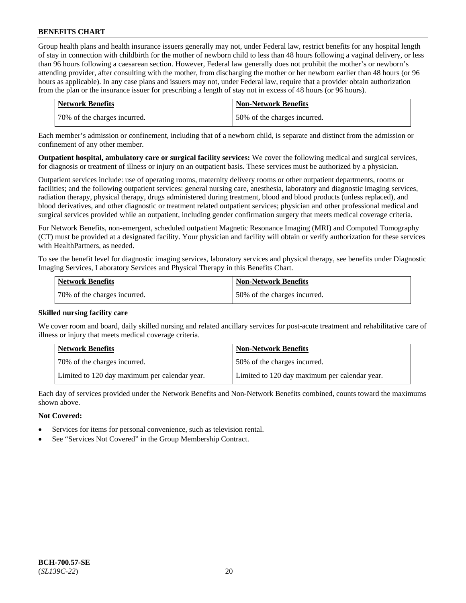Group health plans and health insurance issuers generally may not, under Federal law, restrict benefits for any hospital length of stay in connection with childbirth for the mother of newborn child to less than 48 hours following a vaginal delivery, or less than 96 hours following a caesarean section. However, Federal law generally does not prohibit the mother's or newborn's attending provider, after consulting with the mother, from discharging the mother or her newborn earlier than 48 hours (or 96 hours as applicable). In any case plans and issuers may not, under Federal law, require that a provider obtain authorization from the plan or the insurance issuer for prescribing a length of stay not in excess of 48 hours (or 96 hours).

| <b>Network Benefits</b>      | Non-Network Benefits         |
|------------------------------|------------------------------|
| 70% of the charges incurred. | 50% of the charges incurred. |

Each member's admission or confinement, including that of a newborn child, is separate and distinct from the admission or confinement of any other member.

**Outpatient hospital, ambulatory care or surgical facility services:** We cover the following medical and surgical services, for diagnosis or treatment of illness or injury on an outpatient basis. These services must be authorized by a physician.

Outpatient services include: use of operating rooms, maternity delivery rooms or other outpatient departments, rooms or facilities; and the following outpatient services: general nursing care, anesthesia, laboratory and diagnostic imaging services, radiation therapy, physical therapy, drugs administered during treatment, blood and blood products (unless replaced), and blood derivatives, and other diagnostic or treatment related outpatient services; physician and other professional medical and surgical services provided while an outpatient, including gender confirmation surgery that meets medical coverage criteria.

For Network Benefits, non-emergent, scheduled outpatient Magnetic Resonance Imaging (MRI) and Computed Tomography (CT) must be provided at a designated facility. Your physician and facility will obtain or verify authorization for these services with HealthPartners, as needed.

To see the benefit level for diagnostic imaging services, laboratory services and physical therapy, see benefits under Diagnostic Imaging Services, Laboratory Services and Physical Therapy in this Benefits Chart.

| <b>Network Benefits</b>       | Non-Network Benefits         |
|-------------------------------|------------------------------|
| 170% of the charges incurred. | 50% of the charges incurred. |

### **Skilled nursing facility care**

We cover room and board, daily skilled nursing and related ancillary services for post-acute treatment and rehabilitative care of illness or injury that meets medical coverage criteria.

| Network Benefits                              | <b>Non-Network Benefits</b>                   |
|-----------------------------------------------|-----------------------------------------------|
| 70% of the charges incurred.                  | 50% of the charges incurred.                  |
| Limited to 120 day maximum per calendar year. | Limited to 120 day maximum per calendar year. |

Each day of services provided under the Network Benefits and Non-Network Benefits combined, counts toward the maximums shown above.

### **Not Covered:**

- Services for items for personal convenience, such as television rental.
- See "Services Not Covered" in the Group Membership Contract.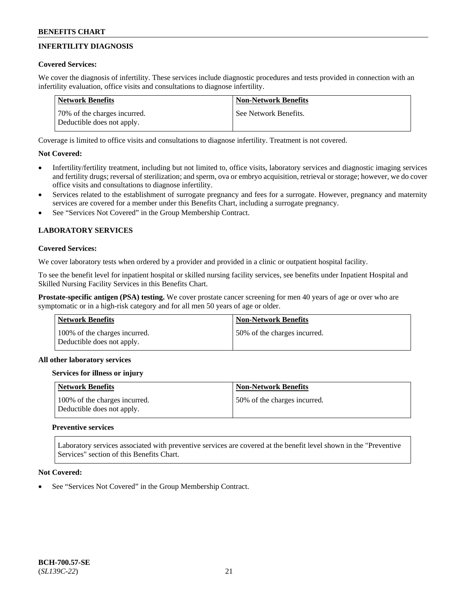# **INFERTILITY DIAGNOSIS**

## **Covered Services:**

We cover the diagnosis of infertility. These services include diagnostic procedures and tests provided in connection with an infertility evaluation, office visits and consultations to diagnose infertility.

| Network Benefits                                           | <b>Non-Network Benefits</b> |
|------------------------------------------------------------|-----------------------------|
| 70% of the charges incurred.<br>Deductible does not apply. | See Network Benefits.       |

Coverage is limited to office visits and consultations to diagnose infertility. Treatment is not covered.

# **Not Covered:**

- Infertility/fertility treatment, including but not limited to, office visits, laboratory services and diagnostic imaging services and fertility drugs; reversal of sterilization; and sperm, ova or embryo acquisition, retrieval or storage; however, we do cover office visits and consultations to diagnose infertility.
- Services related to the establishment of surrogate pregnancy and fees for a surrogate. However, pregnancy and maternity services are covered for a member under this Benefits Chart, including a surrogate pregnancy.
- See "Services Not Covered" in the Group Membership Contract.

# **LABORATORY SERVICES**

#### **Covered Services:**

We cover laboratory tests when ordered by a provider and provided in a clinic or outpatient hospital facility.

To see the benefit level for inpatient hospital or skilled nursing facility services, see benefits under Inpatient Hospital and Skilled Nursing Facility Services in this Benefits Chart.

**Prostate-specific antigen (PSA) testing.** We cover prostate cancer screening for men 40 years of age or over who are symptomatic or in a high-risk category and for all men 50 years of age or older.

| Network Benefits                                            | <b>Non-Network Benefits</b>  |
|-------------------------------------------------------------|------------------------------|
| 100% of the charges incurred.<br>Deductible does not apply. | 50% of the charges incurred. |

### **All other laboratory services**

### **Services for illness or injury**

| Network Benefits                                            | <b>Non-Network Benefits</b>   |
|-------------------------------------------------------------|-------------------------------|
| 100% of the charges incurred.<br>Deductible does not apply. | 150% of the charges incurred. |

### **Preventive services**

Laboratory services associated with preventive services are covered at the benefit level shown in the "Preventive Services" section of this Benefits Chart.

### **Not Covered:**

See "Services Not Covered" in the Group Membership Contract.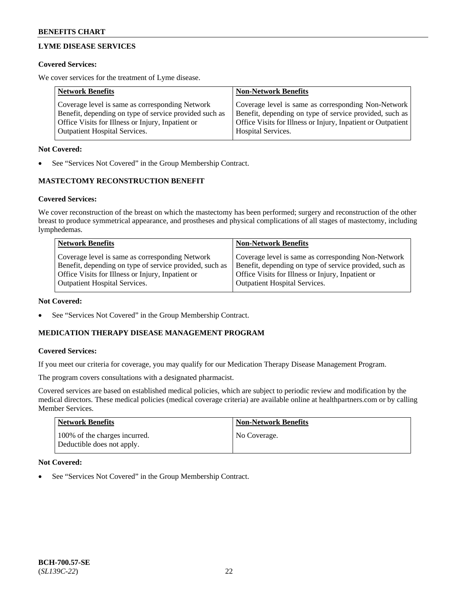# **LYME DISEASE SERVICES**

#### **Covered Services:**

We cover services for the treatment of Lyme disease.

| <b>Network Benefits</b>                                | <b>Non-Network Benefits</b>                                  |
|--------------------------------------------------------|--------------------------------------------------------------|
| Coverage level is same as corresponding Network        | Coverage level is same as corresponding Non-Network          |
| Benefit, depending on type of service provided such as | Benefit, depending on type of service provided, such as      |
| Office Visits for Illness or Injury, Inpatient or      | Office Visits for Illness or Injury, Inpatient or Outpatient |
| <b>Outpatient Hospital Services.</b>                   | Hospital Services.                                           |

#### **Not Covered:**

See "Services Not Covered" in the Group Membership Contract.

# **MASTECTOMY RECONSTRUCTION BENEFIT**

#### **Covered Services:**

We cover reconstruction of the breast on which the mastectomy has been performed; surgery and reconstruction of the other breast to produce symmetrical appearance, and prostheses and physical complications of all stages of mastectomy, including lymphedemas.

| <b>Network Benefits</b>                                 | <b>Non-Network Benefits</b>                             |
|---------------------------------------------------------|---------------------------------------------------------|
| Coverage level is same as corresponding Network         | Coverage level is same as corresponding Non-Network     |
| Benefit, depending on type of service provided, such as | Benefit, depending on type of service provided, such as |
| Office Visits for Illness or Injury, Inpatient or       | Office Visits for Illness or Injury, Inpatient or       |
| <b>Outpatient Hospital Services.</b>                    | <b>Outpatient Hospital Services.</b>                    |

#### **Not Covered:**

See "Services Not Covered" in the Group Membership Contract.

### **MEDICATION THERAPY DISEASE MANAGEMENT PROGRAM**

#### **Covered Services:**

If you meet our criteria for coverage, you may qualify for our Medication Therapy Disease Management Program.

The program covers consultations with a designated pharmacist.

Covered services are based on established medical policies, which are subject to periodic review and modification by the medical directors. These medical policies (medical coverage criteria) are available online at [healthpartners.com](https://www.healthpartners.com/hp/index.html) or by calling Member Services.

| <b>Network Benefits</b>                                     | <b>Non-Network Benefits</b> |
|-------------------------------------------------------------|-----------------------------|
| 100% of the charges incurred.<br>Deductible does not apply. | No Coverage.                |

### **Not Covered:**

See "Services Not Covered" in the Group Membership Contract.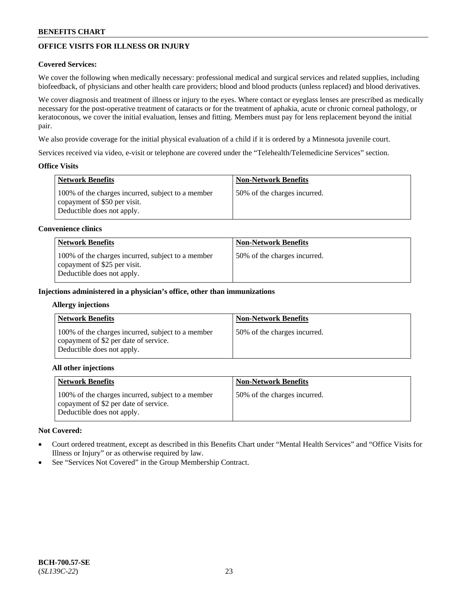# **OFFICE VISITS FOR ILLNESS OR INJURY**

### **Covered Services:**

We cover the following when medically necessary: professional medical and surgical services and related supplies, including biofeedback, of physicians and other health care providers; blood and blood products (unless replaced) and blood derivatives.

We cover diagnosis and treatment of illness or injury to the eyes. Where contact or eyeglass lenses are prescribed as medically necessary for the post-operative treatment of cataracts or for the treatment of aphakia, acute or chronic corneal pathology, or keratoconous, we cover the initial evaluation, lenses and fitting. Members must pay for lens replacement beyond the initial pair.

We also provide coverage for the initial physical evaluation of a child if it is ordered by a Minnesota juvenile court.

Services received via video, e-visit or telephone are covered under the "Telehealth/Telemedicine Services" section.

### **Office Visits**

| Network Benefits                                                                                                | <b>Non-Network Benefits</b>  |
|-----------------------------------------------------------------------------------------------------------------|------------------------------|
| 100% of the charges incurred, subject to a member<br>copayment of \$50 per visit.<br>Deductible does not apply. | 50% of the charges incurred. |

#### **Convenience clinics**

| <b>Network Benefits</b>                                                                                         | <b>Non-Network Benefits</b>   |
|-----------------------------------------------------------------------------------------------------------------|-------------------------------|
| 100% of the charges incurred, subject to a member<br>copayment of \$25 per visit.<br>Deductible does not apply. | 150% of the charges incurred. |

#### **Injections administered in a physician's office, other than immunizations**

#### **Allergy injections**

| <b>Network Benefits</b>                                                                                                  | <b>Non-Network Benefits</b>  |
|--------------------------------------------------------------------------------------------------------------------------|------------------------------|
| 100% of the charges incurred, subject to a member<br>copayment of \$2 per date of service.<br>Deductible does not apply. | 50% of the charges incurred. |

#### **All other injections**

| <b>Network Benefits</b>                                                                                                  | <b>Non-Network Benefits</b>  |
|--------------------------------------------------------------------------------------------------------------------------|------------------------------|
| 100% of the charges incurred, subject to a member<br>copayment of \$2 per date of service.<br>Deductible does not apply. | 50% of the charges incurred. |

### **Not Covered:**

- Court ordered treatment, except as described in this Benefits Chart under "Mental Health Services" and "Office Visits for Illness or Injury" or as otherwise required by law.
- See "Services Not Covered" in the Group Membership Contract.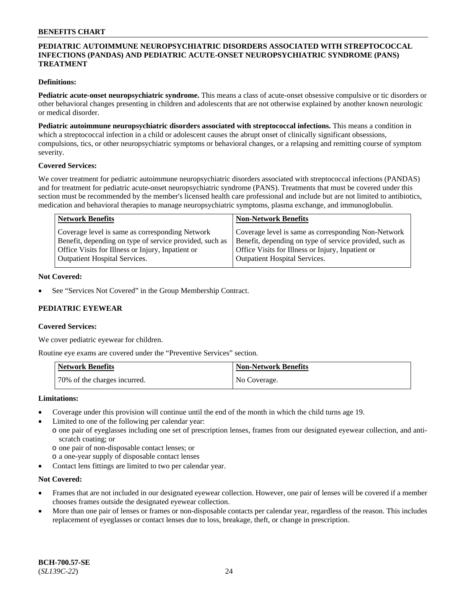### **PEDIATRIC AUTOIMMUNE NEUROPSYCHIATRIC DISORDERS ASSOCIATED WITH STREPTOCOCCAL INFECTIONS (PANDAS) AND PEDIATRIC ACUTE-ONSET NEUROPSYCHIATRIC SYNDROME (PANS) TREATMENT**

### **Definitions:**

**Pediatric acute-onset neuropsychiatric syndrome.** This means a class of acute-onset obsessive compulsive or tic disorders or other behavioral changes presenting in children and adolescents that are not otherwise explained by another known neurologic or medical disorder.

**Pediatric autoimmune neuropsychiatric disorders associated with streptococcal infections.** This means a condition in which a streptococcal infection in a child or adolescent causes the abrupt onset of clinically significant obsessions, compulsions, tics, or other neuropsychiatric symptoms or behavioral changes, or a relapsing and remitting course of symptom severity.

#### **Covered Services:**

We cover treatment for pediatric autoimmune neuropsychiatric disorders associated with streptococcal infections (PANDAS) and for treatment for pediatric acute-onset neuropsychiatric syndrome (PANS). Treatments that must be covered under this section must be recommended by the member's licensed health care professional and include but are not limited to antibiotics, medication and behavioral therapies to manage neuropsychiatric symptoms, plasma exchange, and immunoglobulin.

| <b>Network Benefits</b>                                 | <b>Non-Network Benefits</b>                             |
|---------------------------------------------------------|---------------------------------------------------------|
| Coverage level is same as corresponding Network         | Coverage level is same as corresponding Non-Network     |
| Benefit, depending on type of service provided, such as | Benefit, depending on type of service provided, such as |
| Office Visits for Illness or Injury, Inpatient or       | Office Visits for Illness or Injury, Inpatient or       |
| <b>Outpatient Hospital Services.</b>                    | <b>Outpatient Hospital Services.</b>                    |

#### **Not Covered:**

See "Services Not Covered" in the Group Membership Contract.

### **PEDIATRIC EYEWEAR**

#### **Covered Services:**

We cover pediatric eyewear for children.

Routine eye exams are covered under the "Preventive Services" section.

| Network Benefits             | Non-Network Benefits |
|------------------------------|----------------------|
| 70% of the charges incurred. | No Coverage.         |

#### **Limitations:**

- Coverage under this provision will continue until the end of the month in which the child turns age 19.
- Limited to one of the following per calendar year:
- o one pair of eyeglasses including one set of prescription lenses, frames from our designated eyewear collection, and antiscratch coating; or
	- o one pair of non-disposable contact lenses; or
	- o a one-year supply of disposable contact lenses
- Contact lens fittings are limited to two per calendar year.

### **Not Covered:**

- Frames that are not included in our designated eyewear collection. However, one pair of lenses will be covered if a member chooses frames outside the designated eyewear collection.
- More than one pair of lenses or frames or non-disposable contacts per calendar year, regardless of the reason. This includes replacement of eyeglasses or contact lenses due to loss, breakage, theft, or change in prescription.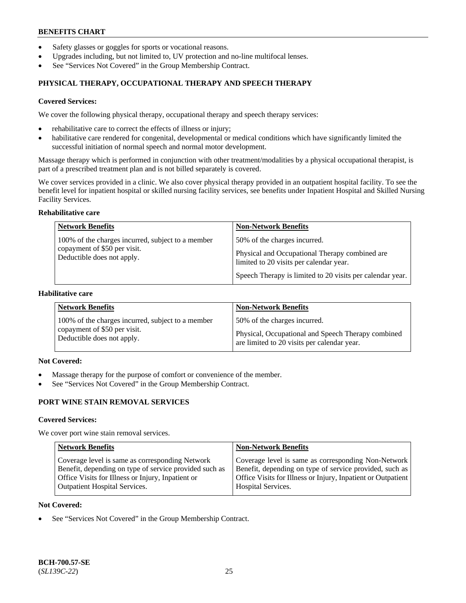- Safety glasses or goggles for sports or vocational reasons.
- Upgrades including, but not limited to, UV protection and no-line multifocal lenses.
- See "Services Not Covered" in the Group Membership Contract.

# **PHYSICAL THERAPY, OCCUPATIONAL THERAPY AND SPEECH THERAPY**

#### **Covered Services:**

We cover the following physical therapy, occupational therapy and speech therapy services:

- rehabilitative care to correct the effects of illness or injury;
- habilitative care rendered for congenital, developmental or medical conditions which have significantly limited the successful initiation of normal speech and normal motor development.

Massage therapy which is performed in conjunction with other treatment/modalities by a physical occupational therapist, is part of a prescribed treatment plan and is not billed separately is covered.

We cover services provided in a clinic. We also cover physical therapy provided in an outpatient hospital facility. To see the benefit level for inpatient hospital or skilled nursing facility services, see benefits under Inpatient Hospital and Skilled Nursing Facility Services.

#### **Rehabilitative care**

| <b>Network Benefits</b>                                                                                         | <b>Non-Network Benefits</b>                                                                                                                                                            |
|-----------------------------------------------------------------------------------------------------------------|----------------------------------------------------------------------------------------------------------------------------------------------------------------------------------------|
| 100% of the charges incurred, subject to a member<br>copayment of \$50 per visit.<br>Deductible does not apply. | 50% of the charges incurred.<br>Physical and Occupational Therapy combined are<br>limited to 20 visits per calendar year.<br>Speech Therapy is limited to 20 visits per calendar year. |

### **Habilitative care**

| <b>Network Benefits</b>                           | <b>Non-Network Benefits</b>                        |
|---------------------------------------------------|----------------------------------------------------|
| 100% of the charges incurred, subject to a member | 50% of the charges incurred.                       |
| copayment of \$50 per visit.                      | Physical, Occupational and Speech Therapy combined |
| Deductible does not apply.                        | are limited to 20 visits per calendar year.        |

# **Not Covered:**

- Massage therapy for the purpose of comfort or convenience of the member.
- See "Services Not Covered" in the Group Membership Contract.

# **PORT WINE STAIN REMOVAL SERVICES**

#### **Covered Services:**

We cover port wine stain removal services.

| <b>Network Benefits</b>                                | <b>Non-Network Benefits</b>                                  |
|--------------------------------------------------------|--------------------------------------------------------------|
| Coverage level is same as corresponding Network        | Coverage level is same as corresponding Non-Network          |
| Benefit, depending on type of service provided such as | Benefit, depending on type of service provided, such as      |
| Office Visits for Illness or Injury, Inpatient or      | Office Visits for Illness or Injury, Inpatient or Outpatient |
| <b>Outpatient Hospital Services.</b>                   | Hospital Services.                                           |

#### **Not Covered:**

See "Services Not Covered" in the Group Membership Contract.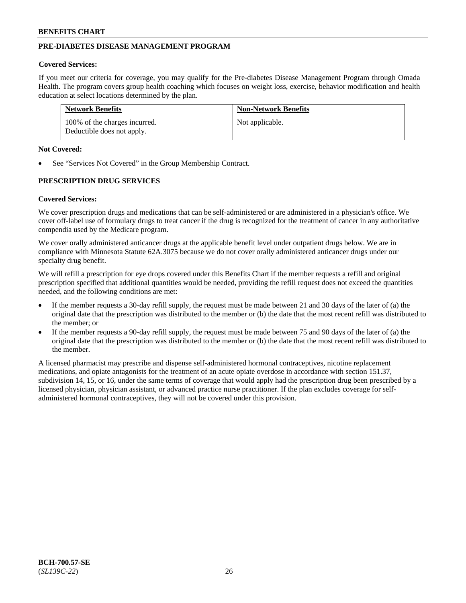# **PRE-DIABETES DISEASE MANAGEMENT PROGRAM**

#### **Covered Services:**

If you meet our criteria for coverage, you may qualify for the Pre-diabetes Disease Management Program through Omada Health. The program covers group health coaching which focuses on weight loss, exercise, behavior modification and health education at select locations determined by the plan.

| <b>Network Benefits</b>                                     | <b>Non-Network Benefits</b> |
|-------------------------------------------------------------|-----------------------------|
| 100% of the charges incurred.<br>Deductible does not apply. | Not applicable.             |

#### **Not Covered:**

See "Services Not Covered" in the Group Membership Contract.

### **PRESCRIPTION DRUG SERVICES**

#### **Covered Services:**

We cover prescription drugs and medications that can be self-administered or are administered in a physician's office. We cover off-label use of formulary drugs to treat cancer if the drug is recognized for the treatment of cancer in any authoritative compendia used by the Medicare program.

We cover orally administered anticancer drugs at the applicable benefit level under outpatient drugs below. We are in compliance with Minnesota Statute 62A.3075 because we do not cover orally administered anticancer drugs under our specialty drug benefit.

We will refill a prescription for eye drops covered under this Benefits Chart if the member requests a refill and original prescription specified that additional quantities would be needed, providing the refill request does not exceed the quantities needed, and the following conditions are met:

- If the member requests a 30-day refill supply, the request must be made between 21 and 30 days of the later of (a) the original date that the prescription was distributed to the member or (b) the date that the most recent refill was distributed to the member; or
- If the member requests a 90-day refill supply, the request must be made between 75 and 90 days of the later of (a) the original date that the prescription was distributed to the member or (b) the date that the most recent refill was distributed to the member.

A licensed pharmacist may prescribe and dispense self-administered hormonal contraceptives, nicotine replacement medications, and opiate antagonists for the treatment of an acute opiate overdose in accordance with section 151.37, subdivision 14, 15, or 16, under the same terms of coverage that would apply had the prescription drug been prescribed by a licensed physician, physician assistant, or advanced practice nurse practitioner. If the plan excludes coverage for selfadministered hormonal contraceptives, they will not be covered under this provision.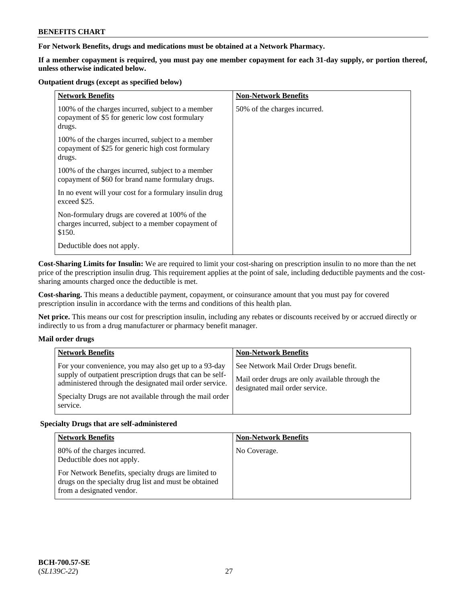### **For Network Benefits, drugs and medications must be obtained at a Network Pharmacy.**

**If a member copayment is required, you must pay one member copayment for each 31-day supply, or portion thereof, unless otherwise indicated below.**

#### **Outpatient drugs (except as specified below)**

| <b>Network Benefits</b>                                                                                          | <b>Non-Network Benefits</b>  |
|------------------------------------------------------------------------------------------------------------------|------------------------------|
| 100% of the charges incurred, subject to a member<br>copayment of \$5 for generic low cost formulary<br>drugs.   | 50% of the charges incurred. |
| 100% of the charges incurred, subject to a member<br>copayment of \$25 for generic high cost formulary<br>drugs. |                              |
| 100% of the charges incurred, subject to a member<br>copayment of \$60 for brand name formulary drugs.           |                              |
| In no event will your cost for a formulary insulin drug<br>exceed \$25.                                          |                              |
| Non-formulary drugs are covered at 100% of the<br>charges incurred, subject to a member copayment of<br>\$150.   |                              |
| Deductible does not apply.                                                                                       |                              |

**Cost-Sharing Limits for Insulin:** We are required to limit your cost-sharing on prescription insulin to no more than the net price of the prescription insulin drug. This requirement applies at the point of sale, including deductible payments and the costsharing amounts charged once the deductible is met.

**Cost-sharing.** This means a deductible payment, copayment, or coinsurance amount that you must pay for covered prescription insulin in accordance with the terms and conditions of this health plan.

**Net price.** This means our cost for prescription insulin, including any rebates or discounts received by or accrued directly or indirectly to us from a drug manufacturer or pharmacy benefit manager.

### **Mail order drugs**

| <b>Network Benefits</b>                                                                                                                                                                                                                               | <b>Non-Network Benefits</b>                                                                                                |
|-------------------------------------------------------------------------------------------------------------------------------------------------------------------------------------------------------------------------------------------------------|----------------------------------------------------------------------------------------------------------------------------|
| For your convenience, you may also get up to a 93-day<br>supply of outpatient prescription drugs that can be self-<br>administered through the designated mail order service.<br>Specialty Drugs are not available through the mail order<br>service. | See Network Mail Order Drugs benefit.<br>Mail order drugs are only available through the<br>designated mail order service. |

### **Specialty Drugs that are self-administered**

| <b>Network Benefits</b>                                                                                                                    | <b>Non-Network Benefits</b> |
|--------------------------------------------------------------------------------------------------------------------------------------------|-----------------------------|
| 80% of the charges incurred.<br>Deductible does not apply.                                                                                 | No Coverage.                |
| For Network Benefits, specialty drugs are limited to<br>drugs on the specialty drug list and must be obtained<br>from a designated vendor. |                             |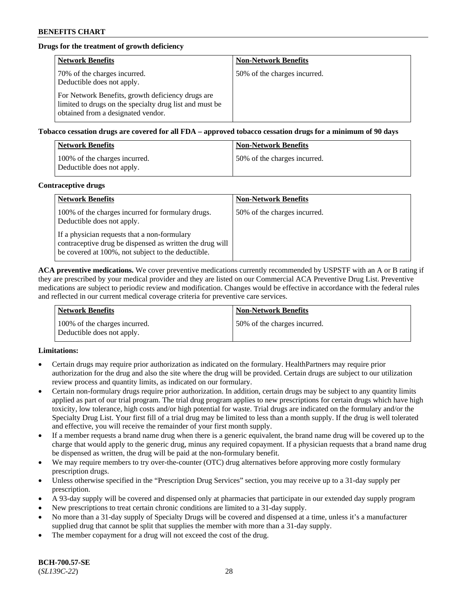# **Drugs for the treatment of growth deficiency**

| <b>Network Benefits</b>                                                                                                                            | <b>Non-Network Benefits</b>  |
|----------------------------------------------------------------------------------------------------------------------------------------------------|------------------------------|
| 70% of the charges incurred.<br>Deductible does not apply.                                                                                         | 50% of the charges incurred. |
| For Network Benefits, growth deficiency drugs are<br>limited to drugs on the specialty drug list and must be<br>obtained from a designated vendor. |                              |

#### **Tobacco cessation drugs are covered for all FDA – approved tobacco cessation drugs for a minimum of 90 days**

| <b>Network Benefits</b>                                     | <b>Non-Network Benefits</b>  |
|-------------------------------------------------------------|------------------------------|
| 100% of the charges incurred.<br>Deductible does not apply. | 50% of the charges incurred. |

#### **Contraceptive drugs**

| <b>Network Benefits</b>                                                                                                                                        | <b>Non-Network Benefits</b>  |
|----------------------------------------------------------------------------------------------------------------------------------------------------------------|------------------------------|
| 100% of the charges incurred for formulary drugs.<br>Deductible does not apply.                                                                                | 50% of the charges incurred. |
| If a physician requests that a non-formulary<br>contraceptive drug be dispensed as written the drug will<br>be covered at 100%, not subject to the deductible. |                              |

**ACA preventive medications.** We cover preventive medications currently recommended by USPSTF with an A or B rating if they are prescribed by your medical provider and they are listed on our Commercial ACA Preventive Drug List. Preventive medications are subject to periodic review and modification. Changes would be effective in accordance with the federal rules and reflected in our current medical coverage criteria for preventive care services.

| Network Benefits                                            | <b>Non-Network Benefits</b>  |
|-------------------------------------------------------------|------------------------------|
| 100% of the charges incurred.<br>Deductible does not apply. | 50% of the charges incurred. |

### **Limitations:**

- Certain drugs may require prior authorization as indicated on the formulary. HealthPartners may require prior authorization for the drug and also the site where the drug will be provided. Certain drugs are subject to our utilization review process and quantity limits, as indicated on our formulary.
- Certain non-formulary drugs require prior authorization. In addition, certain drugs may be subject to any quantity limits applied as part of our trial program. The trial drug program applies to new prescriptions for certain drugs which have high toxicity, low tolerance, high costs and/or high potential for waste. Trial drugs are indicated on the formulary and/or the Specialty Drug List. Your first fill of a trial drug may be limited to less than a month supply. If the drug is well tolerated and effective, you will receive the remainder of your first month supply.
- If a member requests a brand name drug when there is a generic equivalent, the brand name drug will be covered up to the charge that would apply to the generic drug, minus any required copayment. If a physician requests that a brand name drug be dispensed as written, the drug will be paid at the non-formulary benefit.
- We may require members to try over-the-counter (OTC) drug alternatives before approving more costly formulary prescription drugs.
- Unless otherwise specified in the "Prescription Drug Services" section, you may receive up to a 31-day supply per prescription.
- A 93-day supply will be covered and dispensed only at pharmacies that participate in our extended day supply program
- New prescriptions to treat certain chronic conditions are limited to a 31-day supply.
- No more than a 31-day supply of Specialty Drugs will be covered and dispensed at a time, unless it's a manufacturer supplied drug that cannot be split that supplies the member with more than a 31-day supply.
- The member copayment for a drug will not exceed the cost of the drug.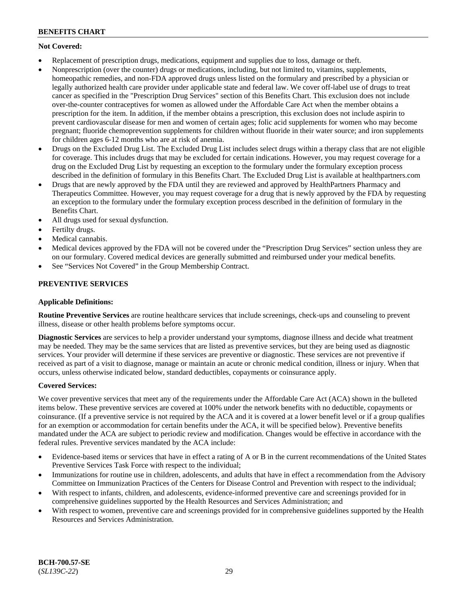# **Not Covered:**

- Replacement of prescription drugs, medications, equipment and supplies due to loss, damage or theft.
- Nonprescription (over the counter) drugs or medications, including, but not limited to, vitamins, supplements, homeopathic remedies, and non-FDA approved drugs unless listed on the formulary and prescribed by a physician or legally authorized health care provider under applicable state and federal law. We cover off-label use of drugs to treat cancer as specified in the "Prescription Drug Services" section of this Benefits Chart. This exclusion does not include over-the-counter contraceptives for women as allowed under the Affordable Care Act when the member obtains a prescription for the item. In addition, if the member obtains a prescription, this exclusion does not include aspirin to prevent cardiovascular disease for men and women of certain ages; folic acid supplements for women who may become pregnant; fluoride chemoprevention supplements for children without fluoride in their water source; and iron supplements for children ages 6-12 months who are at risk of anemia.
- Drugs on the Excluded Drug List. The Excluded Drug List includes select drugs within a therapy class that are not eligible for coverage. This includes drugs that may be excluded for certain indications. However, you may request coverage for a drug on the Excluded Drug List by requesting an exception to the formulary under the formulary exception process described in the definition of formulary in this Benefits Chart. The Excluded Drug List is available at [healthpartners.com](http://www.healthpartners.com/)
- Drugs that are newly approved by the FDA until they are reviewed and approved by HealthPartners Pharmacy and Therapeutics Committee. However, you may request coverage for a drug that is newly approved by the FDA by requesting an exception to the formulary under the formulary exception process described in the definition of formulary in the Benefits Chart.
- All drugs used for sexual dysfunction.
- Fertilty drugs.
- Medical cannabis.
- Medical devices approved by the FDA will not be covered under the "Prescription Drug Services" section unless they are on our formulary. Covered medical devices are generally submitted and reimbursed under your medical benefits.
- See "Services Not Covered" in the Group Membership Contract.

# **PREVENTIVE SERVICES**

### **Applicable Definitions:**

**Routine Preventive Services** are routine healthcare services that include screenings, check-ups and counseling to prevent illness, disease or other health problems before symptoms occur.

**Diagnostic Services** are services to help a provider understand your symptoms, diagnose illness and decide what treatment may be needed. They may be the same services that are listed as preventive services, but they are being used as diagnostic services. Your provider will determine if these services are preventive or diagnostic. These services are not preventive if received as part of a visit to diagnose, manage or maintain an acute or chronic medical condition, illness or injury. When that occurs, unless otherwise indicated below, standard deductibles, copayments or coinsurance apply.

### **Covered Services:**

We cover preventive services that meet any of the requirements under the Affordable Care Act (ACA) shown in the bulleted items below. These preventive services are covered at 100% under the network benefits with no deductible, copayments or coinsurance. (If a preventive service is not required by the ACA and it is covered at a lower benefit level or if a group qualifies for an exemption or accommodation for certain benefits under the ACA, it will be specified below). Preventive benefits mandated under the ACA are subject to periodic review and modification. Changes would be effective in accordance with the federal rules. Preventive services mandated by the ACA include:

- Evidence-based items or services that have in effect a rating of A or B in the current recommendations of the United States Preventive Services Task Force with respect to the individual;
- Immunizations for routine use in children, adolescents, and adults that have in effect a recommendation from the Advisory Committee on Immunization Practices of the Centers for Disease Control and Prevention with respect to the individual;
- With respect to infants, children, and adolescents, evidence-informed preventive care and screenings provided for in comprehensive guidelines supported by the Health Resources and Services Administration; and
- With respect to women, preventive care and screenings provided for in comprehensive guidelines supported by the Health Resources and Services Administration.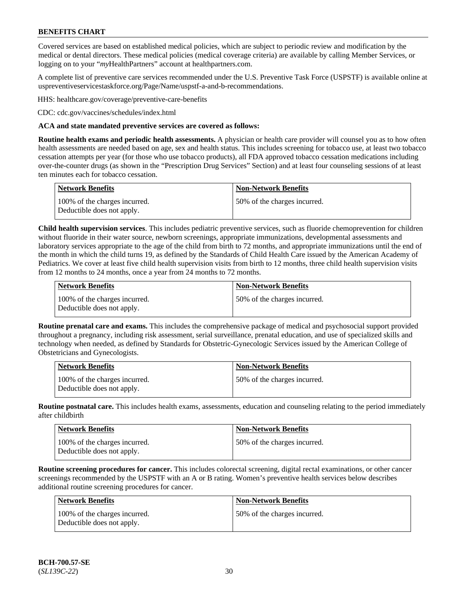Covered services are based on established medical policies, which are subject to periodic review and modification by the medical or dental directors. These medical policies (medical coverage criteria) are available by calling Member Services, or logging on to your "*my*HealthPartners" account at [healthpartners.com.](http://www.healthpartners.com/)

A complete list of preventive care services recommended under the U.S. Preventive Task Force (USPSTF) is available online at [uspreventiveservicestaskforce.org/Page/Name/uspstf-a-and-b-recommendations.](https://www.uspreventiveservicestaskforce.org/Page/Name/uspstf-a-and-b-recommendations-by-date/)

HHS: [healthcare.gov/coverage/preventive-care-benefits](https://www.healthcare.gov/coverage/preventive-care-benefits/)

CDC: [cdc.gov/vaccines/schedules/index.html](https://www.cdc.gov/vaccines/schedules/index.html)

#### **ACA and state mandated preventive services are covered as follows:**

**Routine health exams and periodic health assessments.** A physician or health care provider will counsel you as to how often health assessments are needed based on age, sex and health status. This includes screening for tobacco use, at least two tobacco cessation attempts per year (for those who use tobacco products), all FDA approved tobacco cessation medications including over-the-counter drugs (as shown in the "Prescription Drug Services" Section) and at least four counseling sessions of at least ten minutes each for tobacco cessation.

| Network Benefits                                            | <b>Non-Network Benefits</b>  |
|-------------------------------------------------------------|------------------------------|
| 100% of the charges incurred.<br>Deductible does not apply. | 50% of the charges incurred. |

**Child health supervision services**. This includes pediatric preventive services, such as fluoride chemoprevention for children without fluoride in their water source, newborn screenings, appropriate immunizations, developmental assessments and laboratory services appropriate to the age of the child from birth to 72 months, and appropriate immunizations until the end of the month in which the child turns 19, as defined by the Standards of Child Health Care issued by the American Academy of Pediatrics. We cover at least five child health supervision visits from birth to 12 months, three child health supervision visits from 12 months to 24 months, once a year from 24 months to 72 months.

| Network Benefits                                            | <b>Non-Network Benefits</b>  |
|-------------------------------------------------------------|------------------------------|
| 100% of the charges incurred.<br>Deductible does not apply. | 50% of the charges incurred. |

**Routine prenatal care and exams.** This includes the comprehensive package of medical and psychosocial support provided throughout a pregnancy, including risk assessment, serial surveillance, prenatal education, and use of specialized skills and technology when needed, as defined by Standards for Obstetric-Gynecologic Services issued by the American College of Obstetricians and Gynecologists.

| <b>Network Benefits</b>                                     | Non-Network Benefits         |
|-------------------------------------------------------------|------------------------------|
| 100% of the charges incurred.<br>Deductible does not apply. | 50% of the charges incurred. |

**Routine postnatal care.** This includes health exams, assessments, education and counseling relating to the period immediately after childbirth

| <b>Network Benefits</b>                                     | <b>Non-Network Benefits</b>  |
|-------------------------------------------------------------|------------------------------|
| 100% of the charges incurred.<br>Deductible does not apply. | 50% of the charges incurred. |

**Routine screening procedures for cancer.** This includes colorectal screening, digital rectal examinations, or other cancer screenings recommended by the USPSTF with an A or B rating. Women's preventive health services below describes additional routine screening procedures for cancer.

| <b>Network Benefits</b>                                     | <b>Non-Network Benefits</b>  |
|-------------------------------------------------------------|------------------------------|
| 100% of the charges incurred.<br>Deductible does not apply. | 50% of the charges incurred. |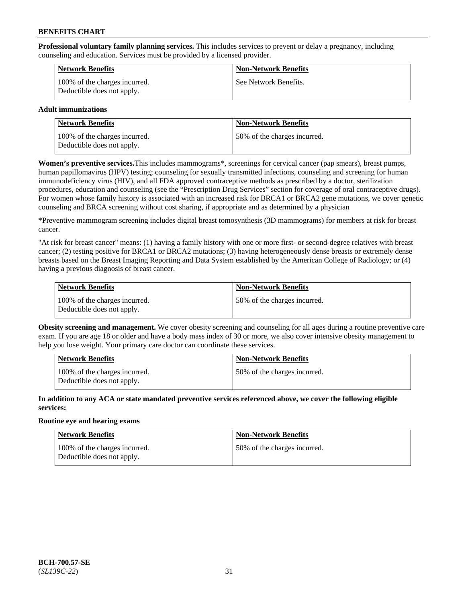**Professional voluntary family planning services.** This includes services to prevent or delay a pregnancy, including counseling and education. Services must be provided by a licensed provider.

| <b>Network Benefits</b>                                     | <b>Non-Network Benefits</b> |
|-------------------------------------------------------------|-----------------------------|
| 100% of the charges incurred.<br>Deductible does not apply. | See Network Benefits.       |

### **Adult immunizations**

| <b>Network Benefits</b>                                     | <b>Non-Network Benefits</b>  |
|-------------------------------------------------------------|------------------------------|
| 100% of the charges incurred.<br>Deductible does not apply. | 50% of the charges incurred. |

**Women's preventive services.**This includes mammograms\*, screenings for cervical cancer (pap smears), breast pumps, human papillomavirus (HPV) testing; counseling for sexually transmitted infections, counseling and screening for human immunodeficiency virus (HIV), and all FDA approved contraceptive methods as prescribed by a doctor, sterilization procedures, education and counseling (see the "Prescription Drug Services" section for coverage of oral contraceptive drugs). For women whose family history is associated with an increased risk for BRCA1 or BRCA2 gene mutations, we cover genetic counseling and BRCA screening without cost sharing, if appropriate and as determined by a physician

**\***Preventive mammogram screening includes digital breast tomosynthesis (3D mammograms) for members at risk for breast cancer.

"At risk for breast cancer" means: (1) having a family history with one or more first- or second-degree relatives with breast cancer; (2) testing positive for BRCA1 or BRCA2 mutations; (3) having heterogeneously dense breasts or extremely dense breasts based on the Breast Imaging Reporting and Data System established by the American College of Radiology; or (4) having a previous diagnosis of breast cancer.

| <b>Network Benefits</b>                                     | <b>Non-Network Benefits</b>  |
|-------------------------------------------------------------|------------------------------|
| 100% of the charges incurred.<br>Deductible does not apply. | 50% of the charges incurred. |

**Obesity screening and management.** We cover obesity screening and counseling for all ages during a routine preventive care exam. If you are age 18 or older and have a body mass index of 30 or more, we also cover intensive obesity management to help you lose weight. Your primary care doctor can coordinate these services.

| <b>Network Benefits</b>                                     | <b>Non-Network Benefits</b>   |
|-------------------------------------------------------------|-------------------------------|
| 100% of the charges incurred.<br>Deductible does not apply. | 150% of the charges incurred. |

**In addition to any ACA or state mandated preventive services referenced above, we cover the following eligible services:**

#### **Routine eye and hearing exams**

| Network Benefits                                            | <b>Non-Network Benefits</b>  |
|-------------------------------------------------------------|------------------------------|
| 100% of the charges incurred.<br>Deductible does not apply. | 50% of the charges incurred. |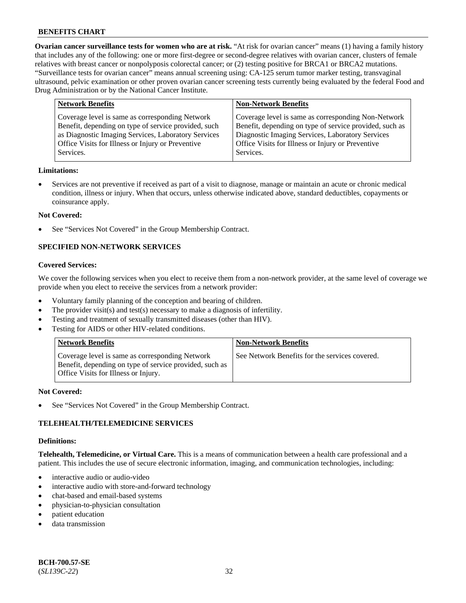**Ovarian cancer surveillance tests for women who are at risk.** "At risk for ovarian cancer" means (1) having a family history that includes any of the following: one or more first-degree or second-degree relatives with ovarian cancer, clusters of female relatives with breast cancer or nonpolyposis colorectal cancer; or (2) testing positive for BRCA1 or BRCA2 mutations. "Surveillance tests for ovarian cancer" means annual screening using: CA-125 serum tumor marker testing, transvaginal ultrasound, pelvic examination or other proven ovarian cancer screening tests currently being evaluated by the federal Food and Drug Administration or by the National Cancer Institute.

| <b>Network Benefits</b>                                                                                                                                                                                                          | <b>Non-Network Benefits</b>                                                                                                                                                                                                          |
|----------------------------------------------------------------------------------------------------------------------------------------------------------------------------------------------------------------------------------|--------------------------------------------------------------------------------------------------------------------------------------------------------------------------------------------------------------------------------------|
| Coverage level is same as corresponding Network<br>Benefit, depending on type of service provided, such<br>as Diagnostic Imaging Services, Laboratory Services<br>Office Visits for Illness or Injury or Preventive<br>Services. | Coverage level is same as corresponding Non-Network<br>Benefit, depending on type of service provided, such as<br>Diagnostic Imaging Services, Laboratory Services<br>Office Visits for Illness or Injury or Preventive<br>Services. |
|                                                                                                                                                                                                                                  |                                                                                                                                                                                                                                      |

#### **Limitations:**

• Services are not preventive if received as part of a visit to diagnose, manage or maintain an acute or chronic medical condition, illness or injury. When that occurs, unless otherwise indicated above, standard deductibles, copayments or coinsurance apply.

#### **Not Covered:**

See "Services Not Covered" in the Group Membership Contract.

# **SPECIFIED NON-NETWORK SERVICES**

## **Covered Services:**

We cover the following services when you elect to receive them from a non-network provider, at the same level of coverage we provide when you elect to receive the services from a network provider:

- Voluntary family planning of the conception and bearing of children.
- The provider visit(s) and test(s) necessary to make a diagnosis of infertility.
- Testing and treatment of sexually transmitted diseases (other than HIV).
- Testing for AIDS or other HIV-related conditions.

| <b>Network Benefits</b>                                                                                                                            | <b>Non-Network Benefits</b>                    |
|----------------------------------------------------------------------------------------------------------------------------------------------------|------------------------------------------------|
| Coverage level is same as corresponding Network<br>Benefit, depending on type of service provided, such as<br>Office Visits for Illness or Injury. | See Network Benefits for the services covered. |

#### **Not Covered:**

See "Services Not Covered" in the Group Membership Contract.

### **TELEHEALTH/TELEMEDICINE SERVICES**

#### **Definitions:**

**Telehealth, Telemedicine, or Virtual Care.** This is a means of communication between a health care professional and a patient. This includes the use of secure electronic information, imaging, and communication technologies, including:

- interactive audio or audio-video
- interactive audio with store-and-forward technology
- chat-based and email-based systems
- physician-to-physician consultation
- patient education
- data transmission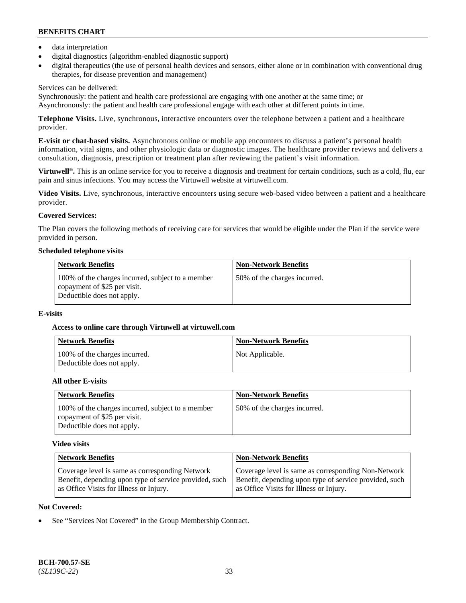- data interpretation
- digital diagnostics (algorithm-enabled diagnostic support)
- digital therapeutics (the use of personal health devices and sensors, either alone or in combination with conventional drug therapies, for disease prevention and management)

## Services can be delivered:

Synchronously: the patient and health care professional are engaging with one another at the same time; or Asynchronously: the patient and health care professional engage with each other at different points in time.

**Telephone Visits.** Live, synchronous, interactive encounters over the telephone between a patient and a healthcare provider.

**E-visit or chat-based visits.** Asynchronous online or mobile app encounters to discuss a patient's personal health information, vital signs, and other physiologic data or diagnostic images. The healthcare provider reviews and delivers a consultation, diagnosis, prescription or treatment plan after reviewing the patient's visit information.

**Virtuwell<sup>®</sup>**. This is an online service for you to receive a diagnosis and treatment for certain conditions, such as a cold, flu, ear pain and sinus infections. You may access the Virtuwell website at [virtuwell.com.](https://www.virtuwell.com/)

**Video Visits.** Live, synchronous, interactive encounters using secure web-based video between a patient and a healthcare provider.

# **Covered Services:**

The Plan covers the following methods of receiving care for services that would be eligible under the Plan if the service were provided in person.

#### **Scheduled telephone visits**

| <b>Network Benefits</b>                                                                                         | <b>Non-Network Benefits</b>  |
|-----------------------------------------------------------------------------------------------------------------|------------------------------|
| 100% of the charges incurred, subject to a member<br>copayment of \$25 per visit.<br>Deductible does not apply. | 50% of the charges incurred. |

### **E-visits**

### **Access to online care through Virtuwell at [virtuwell.com](https://www.virtuwell.com/)**

| Network Benefits                                            | <b>Non-Network Benefits</b> |
|-------------------------------------------------------------|-----------------------------|
| 100% of the charges incurred.<br>Deductible does not apply. | Not Applicable.             |

### **All other E-visits**

| <b>Network Benefits</b>                                                                                         | <b>Non-Network Benefits</b>  |
|-----------------------------------------------------------------------------------------------------------------|------------------------------|
| 100% of the charges incurred, subject to a member<br>copayment of \$25 per visit.<br>Deductible does not apply. | 50% of the charges incurred. |

### **Video visits**

| <b>Network Benefits</b>                                | <b>Non-Network Benefits</b>                            |
|--------------------------------------------------------|--------------------------------------------------------|
| Coverage level is same as corresponding Network        | Coverage level is same as corresponding Non-Network    |
| Benefit, depending upon type of service provided, such | Benefit, depending upon type of service provided, such |
| as Office Visits for Illness or Injury.                | as Office Visits for Illness or Injury.                |

### **Not Covered:**

See "Services Not Covered" in the Group Membership Contract.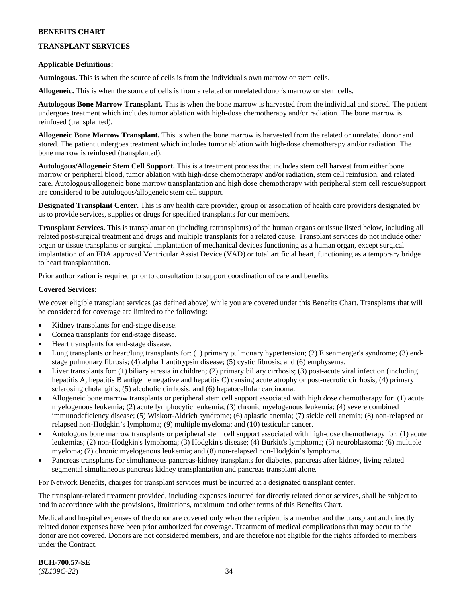# **TRANSPLANT SERVICES**

#### **Applicable Definitions:**

**Autologous.** This is when the source of cells is from the individual's own marrow or stem cells.

**Allogeneic.** This is when the source of cells is from a related or unrelated donor's marrow or stem cells.

**Autologous Bone Marrow Transplant.** This is when the bone marrow is harvested from the individual and stored. The patient undergoes treatment which includes tumor ablation with high-dose chemotherapy and/or radiation. The bone marrow is reinfused (transplanted).

**Allogeneic Bone Marrow Transplant.** This is when the bone marrow is harvested from the related or unrelated donor and stored. The patient undergoes treatment which includes tumor ablation with high-dose chemotherapy and/or radiation. The bone marrow is reinfused (transplanted).

**Autologous/Allogeneic Stem Cell Support.** This is a treatment process that includes stem cell harvest from either bone marrow or peripheral blood, tumor ablation with high-dose chemotherapy and/or radiation, stem cell reinfusion, and related care. Autologous/allogeneic bone marrow transplantation and high dose chemotherapy with peripheral stem cell rescue/support are considered to be autologous/allogeneic stem cell support.

**Designated Transplant Center.** This is any health care provider, group or association of health care providers designated by us to provide services, supplies or drugs for specified transplants for our members.

**Transplant Services.** This is transplantation (including retransplants) of the human organs or tissue listed below, including all related post-surgical treatment and drugs and multiple transplants for a related cause. Transplant services do not include other organ or tissue transplants or surgical implantation of mechanical devices functioning as a human organ, except surgical implantation of an FDA approved Ventricular Assist Device (VAD) or total artificial heart, functioning as a temporary bridge to heart transplantation.

Prior authorization is required prior to consultation to support coordination of care and benefits.

#### **Covered Services:**

We cover eligible transplant services (as defined above) while you are covered under this Benefits Chart. Transplants that will be considered for coverage are limited to the following:

- Kidney transplants for end-stage disease.
- Cornea transplants for end-stage disease.
- Heart transplants for end-stage disease.
- Lung transplants or heart/lung transplants for: (1) primary pulmonary hypertension; (2) Eisenmenger's syndrome; (3) endstage pulmonary fibrosis; (4) alpha 1 antitrypsin disease; (5) cystic fibrosis; and (6) emphysema.
- Liver transplants for: (1) biliary atresia in children; (2) primary biliary cirrhosis; (3) post-acute viral infection (including hepatitis A, hepatitis B antigen e negative and hepatitis C) causing acute atrophy or post-necrotic cirrhosis; (4) primary sclerosing cholangitis; (5) alcoholic cirrhosis; and (6) hepatocellular carcinoma.
- Allogeneic bone marrow transplants or peripheral stem cell support associated with high dose chemotherapy for: (1) acute myelogenous leukemia; (2) acute lymphocytic leukemia; (3) chronic myelogenous leukemia; (4) severe combined immunodeficiency disease; (5) Wiskott-Aldrich syndrome; (6) aplastic anemia; (7) sickle cell anemia; (8) non-relapsed or relapsed non-Hodgkin's lymphoma; (9) multiple myeloma; and (10) testicular cancer.
- Autologous bone marrow transplants or peripheral stem cell support associated with high-dose chemotherapy for: (1) acute leukemias; (2) non-Hodgkin's lymphoma; (3) Hodgkin's disease; (4) Burkitt's lymphoma; (5) neuroblastoma; (6) multiple myeloma; (7) chronic myelogenous leukemia; and (8) non-relapsed non-Hodgkin's lymphoma.
- Pancreas transplants for simultaneous pancreas-kidney transplants for diabetes, pancreas after kidney, living related segmental simultaneous pancreas kidney transplantation and pancreas transplant alone.

For Network Benefits, charges for transplant services must be incurred at a designated transplant center.

The transplant-related treatment provided, including expenses incurred for directly related donor services, shall be subject to and in accordance with the provisions, limitations, maximum and other terms of this Benefits Chart.

Medical and hospital expenses of the donor are covered only when the recipient is a member and the transplant and directly related donor expenses have been prior authorized for coverage. Treatment of medical complications that may occur to the donor are not covered. Donors are not considered members, and are therefore not eligible for the rights afforded to members under the Contract.